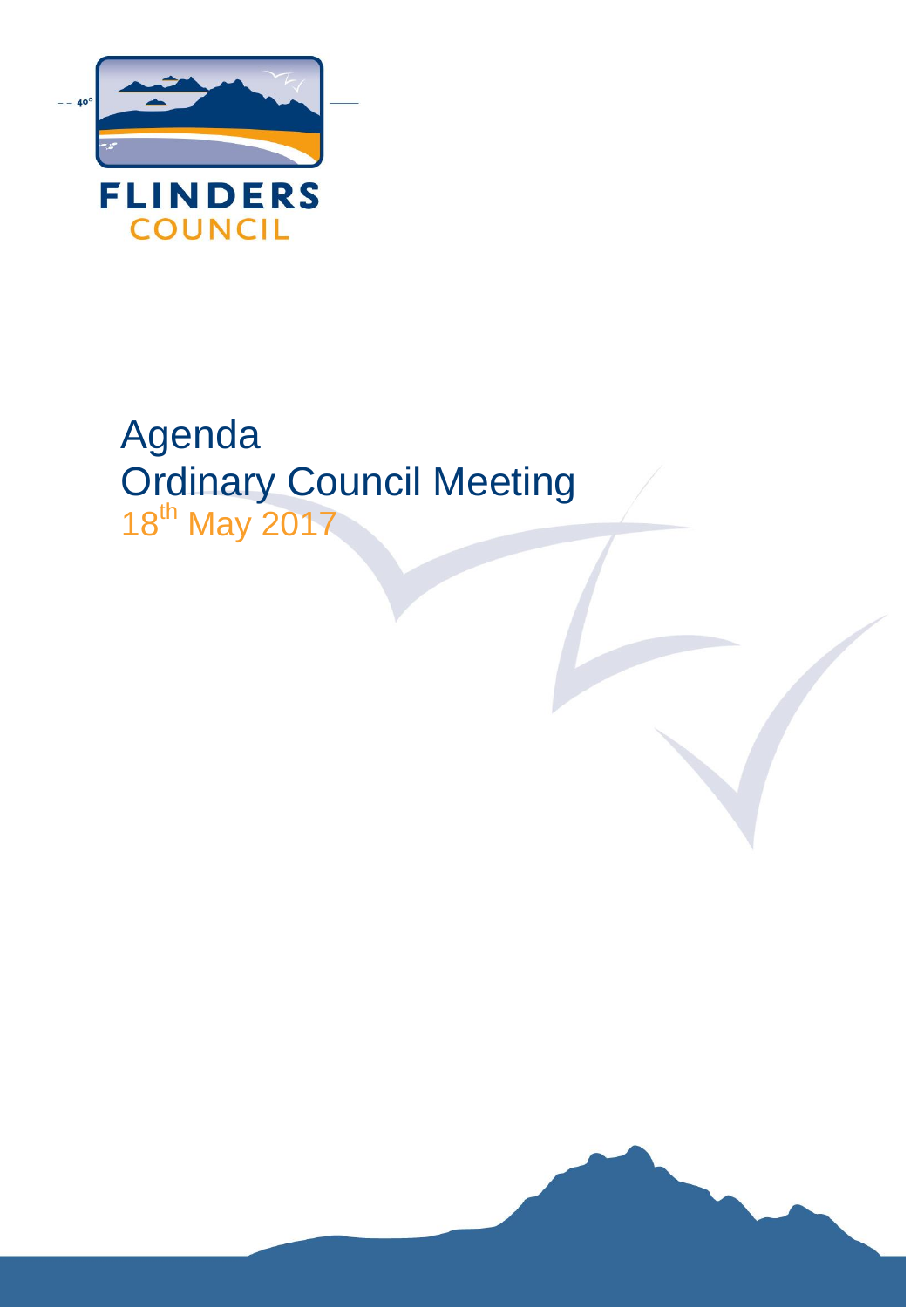

# Agenda Ordinary Council Meeting 18th May 2017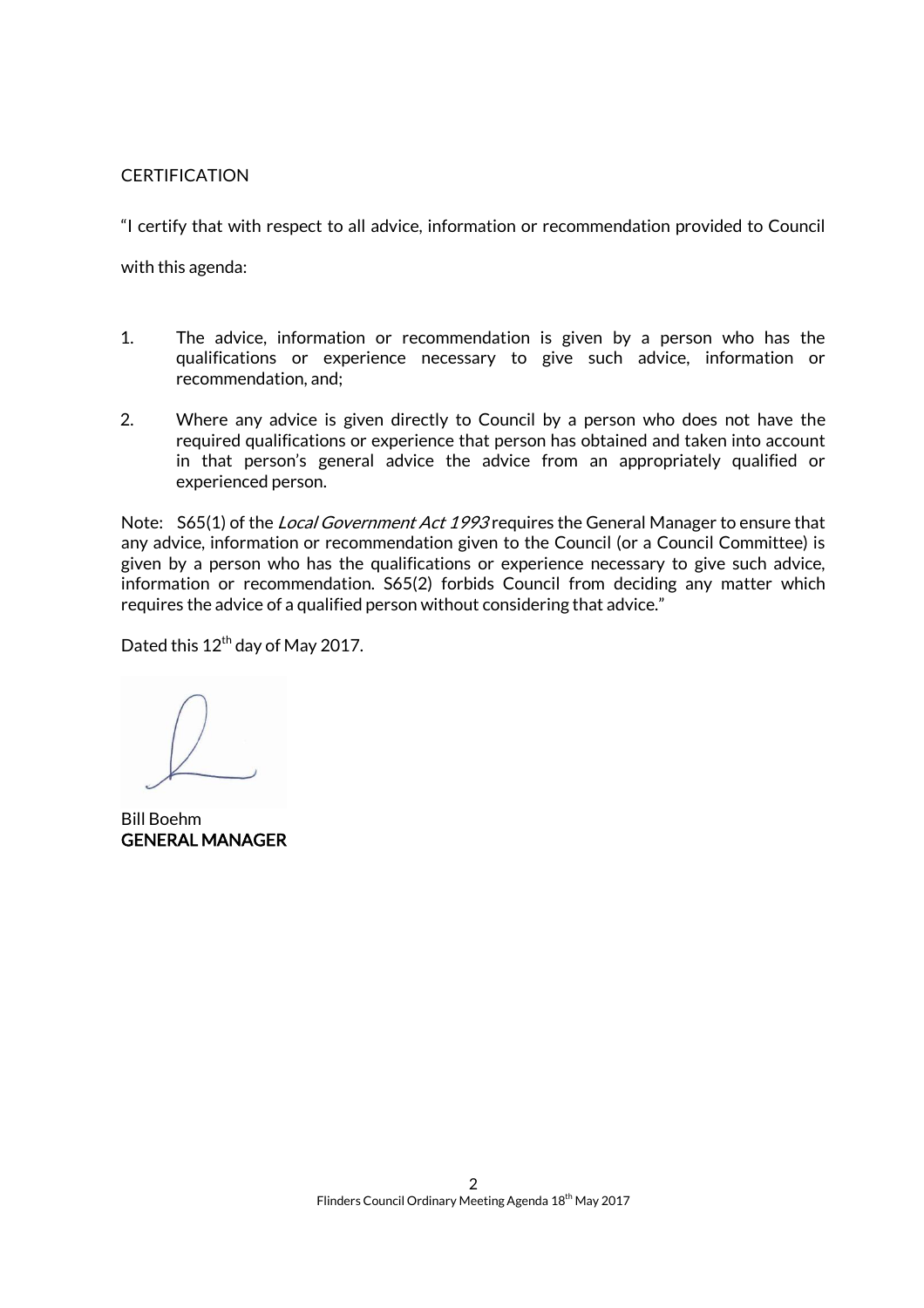#### **CERTIFICATION**

"I certify that with respect to all advice, information or recommendation provided to Council

with this agenda:

- 1. The advice, information or recommendation is given by a person who has the qualifications or experience necessary to give such advice, information or recommendation, and;
- 2. Where any advice is given directly to Council by a person who does not have the required qualifications or experience that person has obtained and taken into account in that person's general advice the advice from an appropriately qualified or experienced person.

Note: S65(1) of the *Local Government Act 1993* requires the General Manager to ensure that any advice, information or recommendation given to the Council (or a Council Committee) is given by a person who has the qualifications or experience necessary to give such advice, information or recommendation. S65(2) forbids Council from deciding any matter which requires the advice of a qualified person without considering that advice."

Dated this  $12^{\text{th}}$  day of May 2017.

Bill Boehm GENERAL MANAGER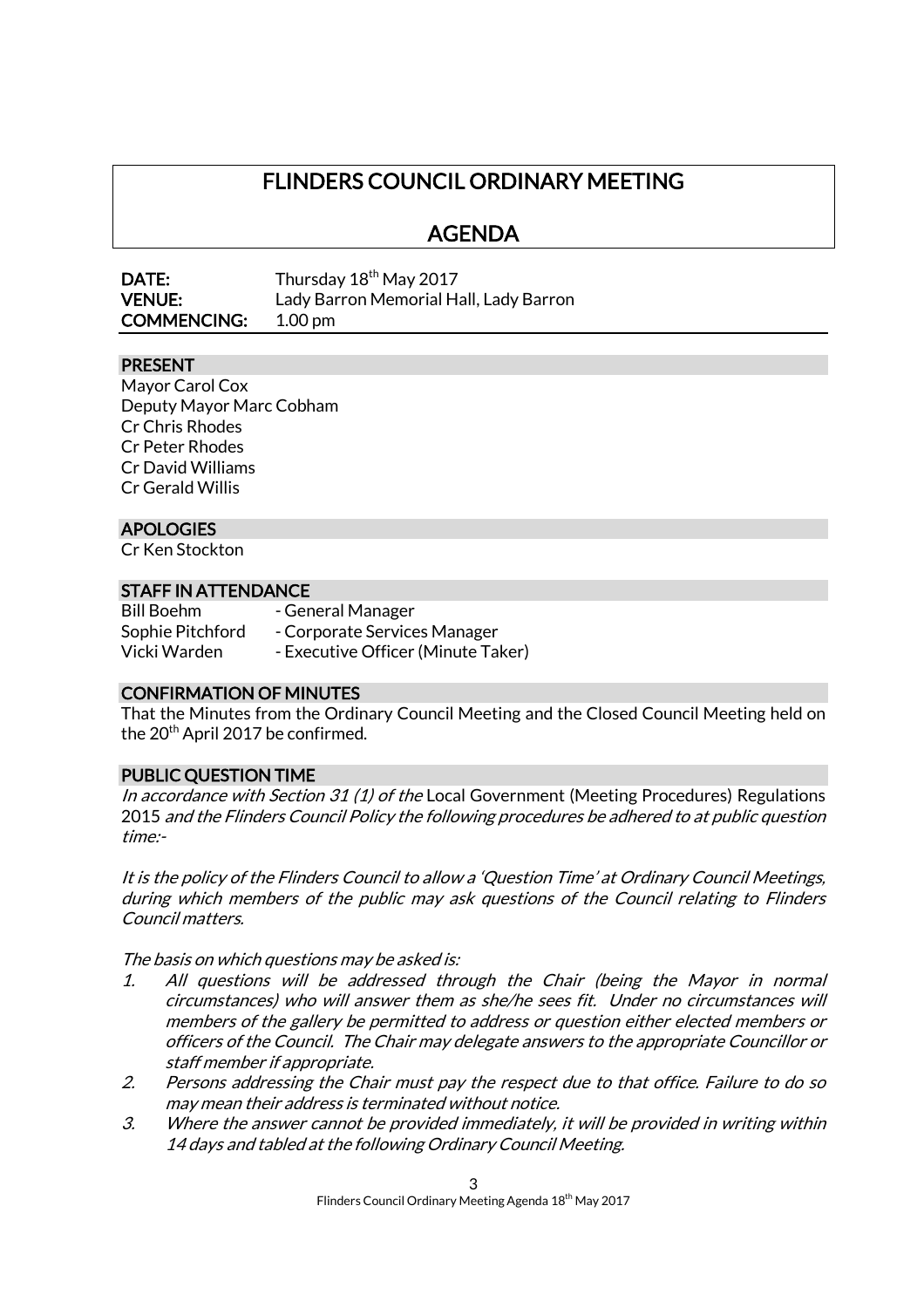# FLINDERS COUNCIL ORDINARY MEETING

AGENDA

| DATE:              | Thursday 18 <sup>th</sup> May 2017     |
|--------------------|----------------------------------------|
| <b>VENUE:</b>      | Lady Barron Memorial Hall, Lady Barron |
| <b>COMMENCING:</b> | 1.00 <sub>pm</sub>                     |

#### PRESENT

Mayor Carol Cox Deputy Mayor Marc Cobham Cr Chris Rhodes Cr Peter Rhodes Cr David Williams Cr Gerald Willis

#### APOLOGIES

Cr Ken Stockton

#### STAFF IN ATTENDANCE

Bill Boehm - General Manager Sophie Pitchford - Corporate Services Manager Vicki Warden - Executive Officer (Minute Taker)

#### CONFIRMATION OF MINUTES

That the Minutes from the Ordinary Council Meeting and the Closed Council Meeting held on the 20<sup>th</sup> April 2017 be confirmed.

#### PUBLIC QUESTION TIME

In accordance with Section 31 (1) of the Local Government (Meeting Procedures) Regulations 2015 and the Flinders Council Policy the following procedures be adhered to at public question time:-

It is the policy of the Flinders Council to allow a 'Question Time' at Ordinary Council Meetings, during which members of the public may ask questions of the Council relating to Flinders Council matters.

The basis on which questions may be asked is:

- 1. All questions will be addressed through the Chair (being the Mayor in normal circumstances) who will answer them as she/he sees fit. Under no circumstances will members of the gallery be permitted to address or question either elected members or officers of the Council. The Chair may delegate answers to the appropriate Councillor or staff member if appropriate.
- 2. Persons addressing the Chair must pay the respect due to that office. Failure to do so may mean their address is terminated without notice.
- 3. Where the answer cannot be provided immediately, it will be provided in writing within 14 days and tabled at the following Ordinary Council Meeting.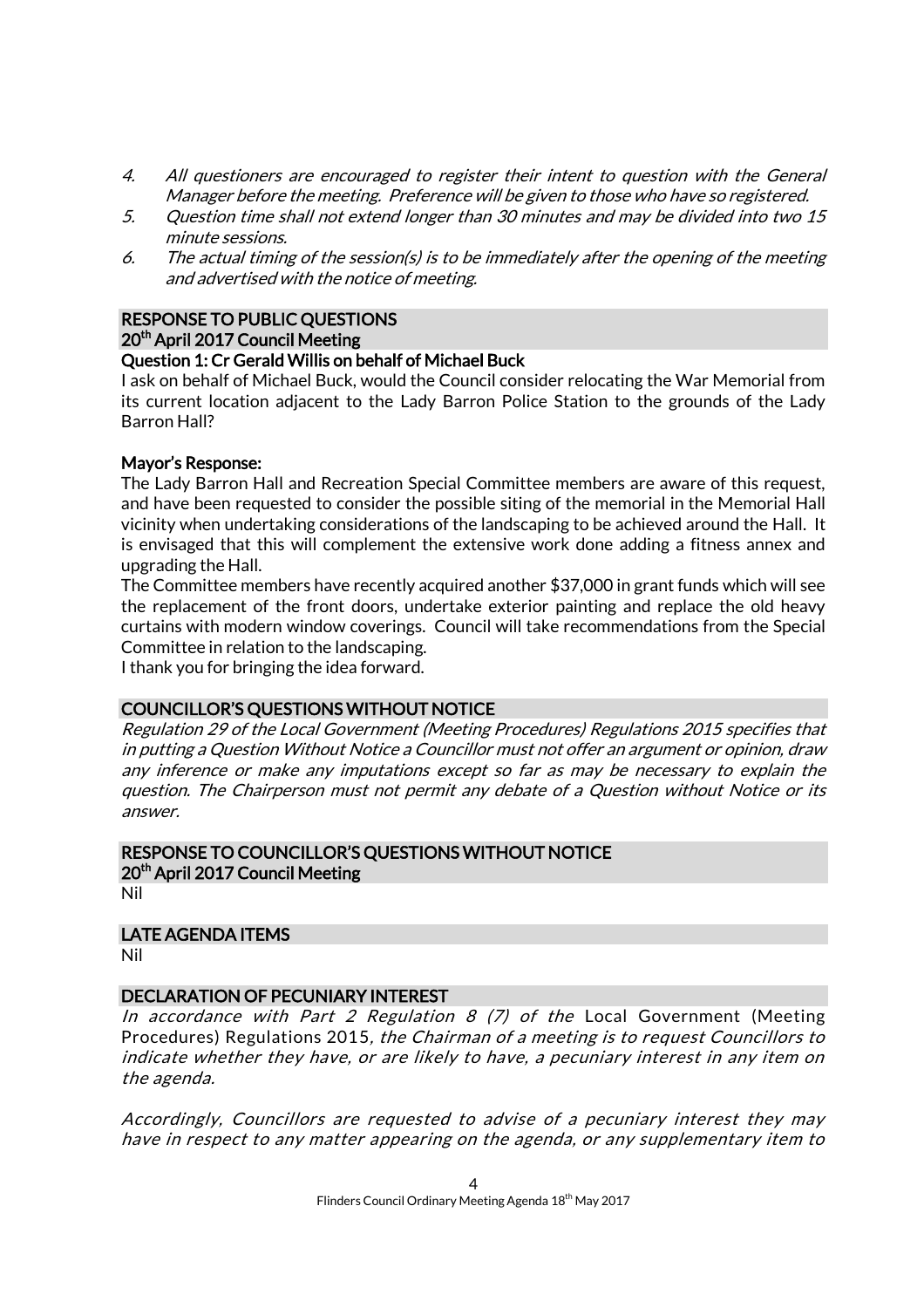- 4. All questioners are encouraged to register their intent to question with the General Manager before the meeting. Preference will be given to those who have so registered.
- 5. Question time shall not extend longer than 30 minutes and may be divided into two 15 minute sessions.
- 6. The actual timing of the session(s) is to be immediately after the opening of the meeting and advertised with the notice of meeting.

#### RESPONSE TO PUBLIC QUESTIONS

# 20<sup>th</sup> April 2017 Council Meeting

#### Question 1: Cr Gerald Willis on behalf of Michael Buck

I ask on behalf of Michael Buck, would the Council consider relocating the War Memorial from its current location adjacent to the Lady Barron Police Station to the grounds of the Lady Barron Hall?

#### Mayor's Response:

The Lady Barron Hall and Recreation Special Committee members are aware of this request, and have been requested to consider the possible siting of the memorial in the Memorial Hall vicinity when undertaking considerations of the landscaping to be achieved around the Hall. It is envisaged that this will complement the extensive work done adding a fitness annex and upgrading the Hall.

The Committee members have recently acquired another \$37,000 in grant funds which will see the replacement of the front doors, undertake exterior painting and replace the old heavy curtains with modern window coverings. Council will take recommendations from the Special Committee in relation to the landscaping.

I thank you for bringing the idea forward.

#### COUNCILLOR'S QUESTIONS WITHOUT NOTICE

Regulation 29 of the Local Government (Meeting Procedures) Regulations 2015 specifies that in putting a Question Without Notice a Councillor must not offer an argument or opinion, draw any inference or make any imputations except so far as may be necessary to explain the question. The Chairperson must not permit any debate of a Question without Notice or its answer.

#### RESPONSE TO COUNCILLOR'S QUESTIONS WITHOUT NOTICE 20<sup>th</sup> April 2017 Council Meeting

Nil

# LATE AGENDA ITEMS

Nil

# DECLARATION OF PECUNIARY INTEREST

In accordance with Part 2 Regulation 8  $(7)$  of the Local Government (Meeting Procedures) Regulations 2015, the Chairman of a meeting is to request Councillors to indicate whether they have, or are likely to have, a pecuniary interest in any item on the agenda.

Accordingly, Councillors are requested to advise of a pecuniary interest they may have in respect to any matter appearing on the agenda, or any supplementary item to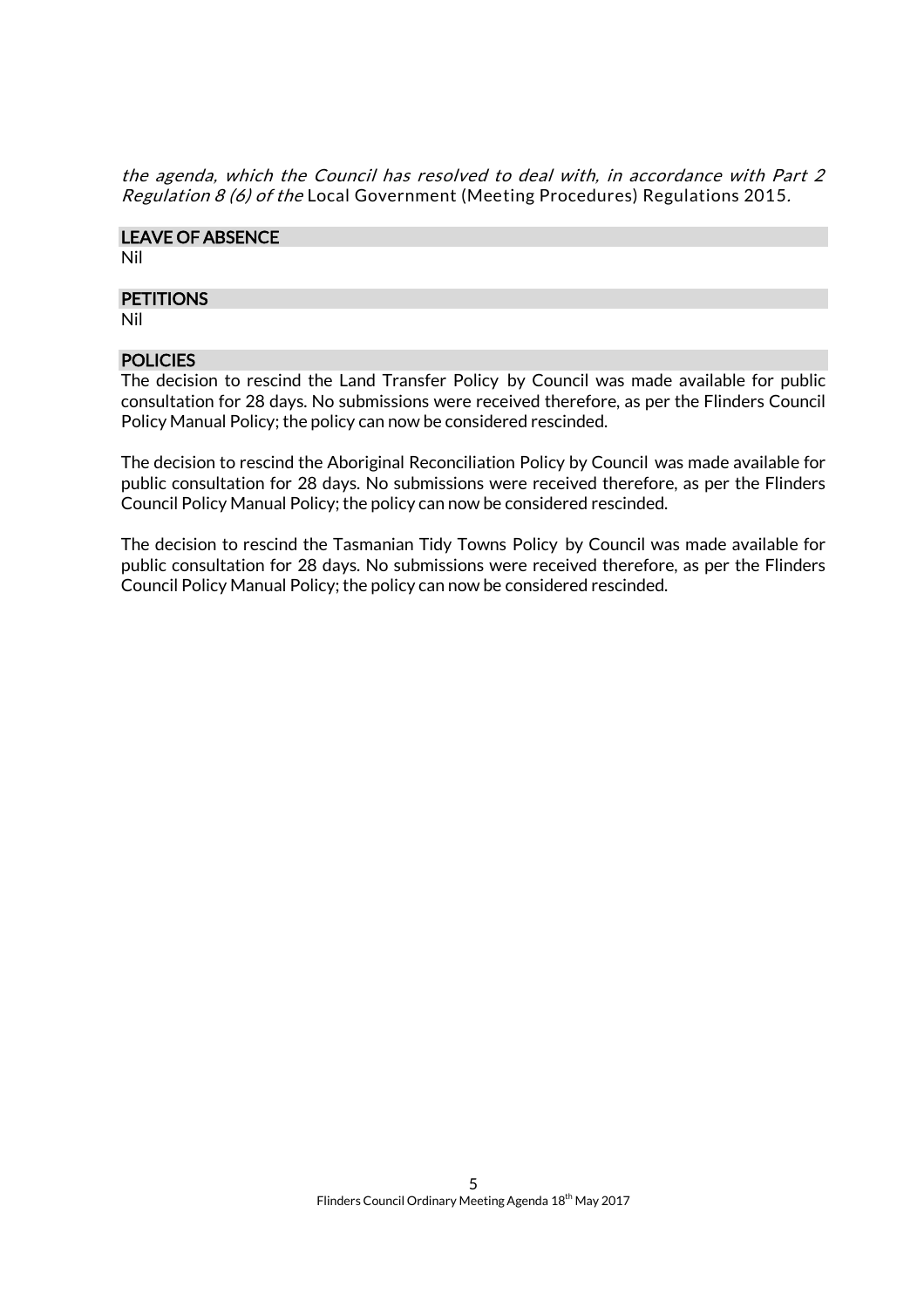the agenda, which the Council has resolved to deal with, in accordance with Part 2 Regulation 8 (6) of the Local Government (Meeting Procedures) Regulations 2015.

# LEAVE OF ABSENCE

Nil

#### **PETITIONS**

Nil

# **POLICIES**

The decision to rescind the Land Transfer Policy by Council was made available for public consultation for 28 days. No submissions were received therefore, as per the Flinders Council Policy Manual Policy; the policy can now be considered rescinded.

The decision to rescind the Aboriginal Reconciliation Policy by Council was made available for public consultation for 28 days. No submissions were received therefore, as per the Flinders Council Policy Manual Policy; the policy can now be considered rescinded.

The decision to rescind the Tasmanian Tidy Towns Policy by Council was made available for public consultation for 28 days. No submissions were received therefore, as per the Flinders Council Policy Manual Policy; the policy can now be considered rescinded.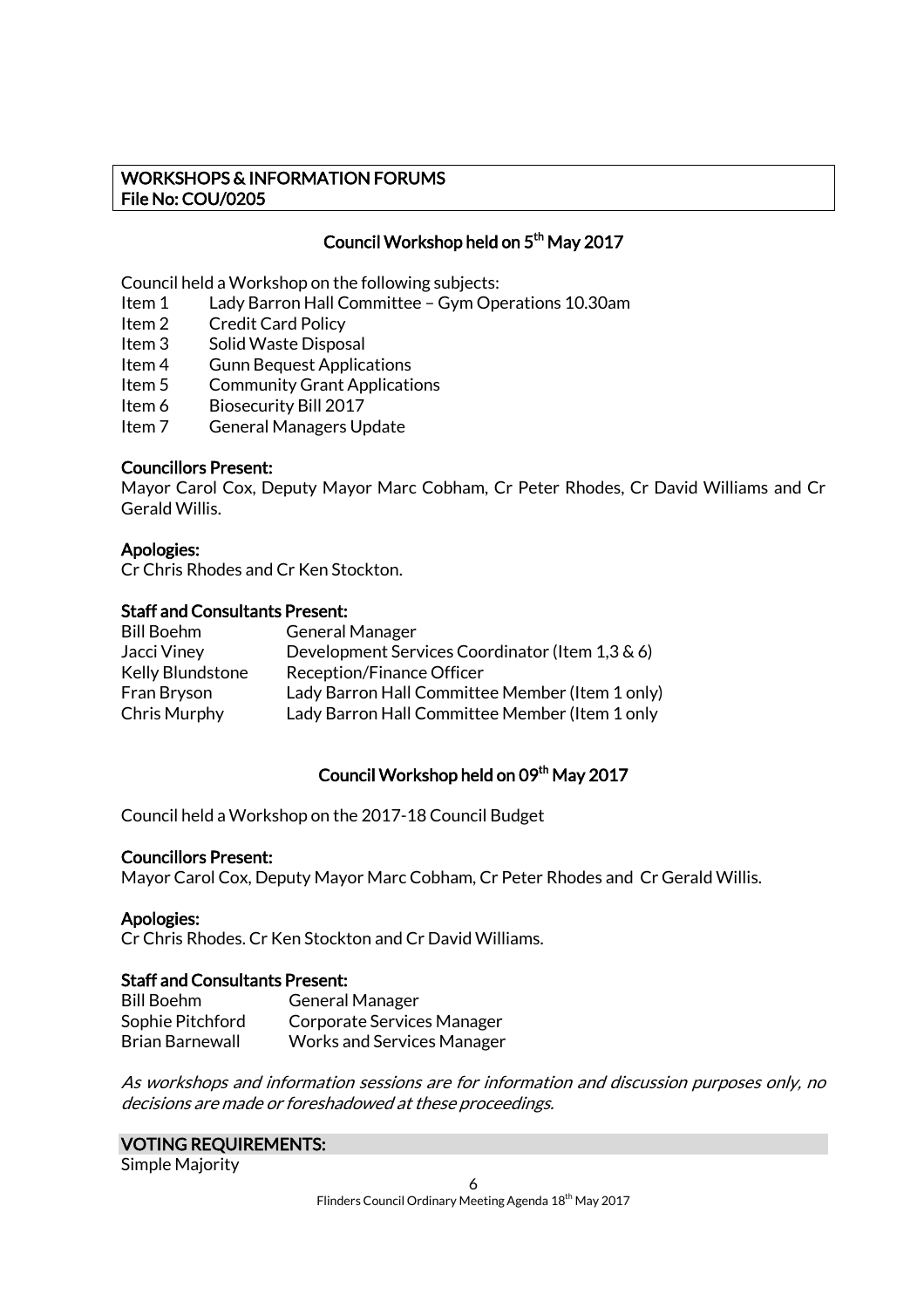#### WORKSHOPS & INFORMATION FORUMS File No: COU/0205

### Council Workshop held on 5<sup>th</sup> May 2017

Council held a Workshop on the following subjects:

- Item 1 Lady Barron Hall Committee Gym Operations 10.30am
- Item 2 Credit Card Policy
- Item 3 Solid Waste Disposal
- Item 4 Gunn Bequest Applications
- Item 5 Community Grant Applications
- Item 6 Biosecurity Bill 2017<br>Item 7 General Managers Ur
- General Managers Update

#### Councillors Present:

Mayor Carol Cox, Deputy Mayor Marc Cobham, Cr Peter Rhodes, Cr David Williams and Cr Gerald Willis.

#### Apologies:

Cr Chris Rhodes and Cr Ken Stockton.

#### Staff and Consultants Present:

| <b>Bill Boehm</b> | <b>General Manager</b>                          |
|-------------------|-------------------------------------------------|
| Jacci Viney       | Development Services Coordinator (Item 1,3 & 6) |
| Kelly Blundstone  | Reception/Finance Officer                       |
| Fran Bryson       | Lady Barron Hall Committee Member (Item 1 only) |
| Chris Murphy      | Lady Barron Hall Committee Member (Item 1 only  |

#### Council Workshop held on 09<sup>th</sup> May 2017

Council held a Workshop on the 2017-18 Council Budget

#### Councillors Present:

Mayor Carol Cox, Deputy Mayor Marc Cobham, Cr Peter Rhodes and Cr Gerald Willis.

#### Apologies:

Cr Chris Rhodes. Cr Ken Stockton and Cr David Williams.

#### Staff and Consultants Present:

| <b>Bill Boehm</b> | <b>General Manager</b>            |
|-------------------|-----------------------------------|
| Sophie Pitchford  | Corporate Services Manager        |
| Brian Barnewall   | <b>Works and Services Manager</b> |

As workshops and information sessions are for information and discussion purposes only, no decisions are made or foreshadowed at these proceedings.

#### VOTING REQUIREMENTS:

Simple Majority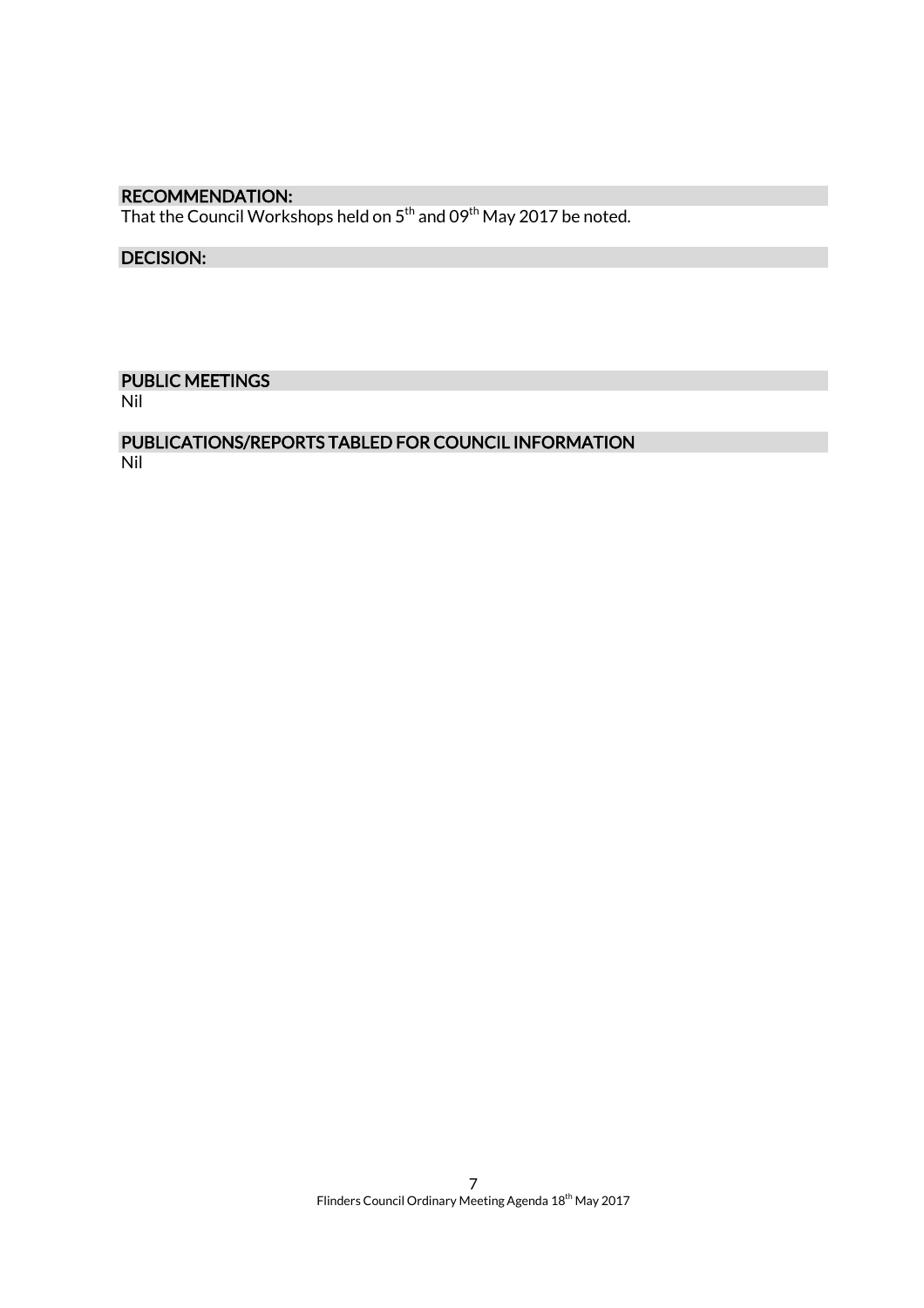# RECOMMENDATION:

That the Council Workshops held on  $5^{\mathsf{th}}$  and 09 $^{\mathsf{th}}$  May 2017 be noted.

#### DECISION:

# PUBLIC MEETINGS

Nil

#### PUBLICATIONS/REPORTS TABLED FOR COUNCIL INFORMATION Nil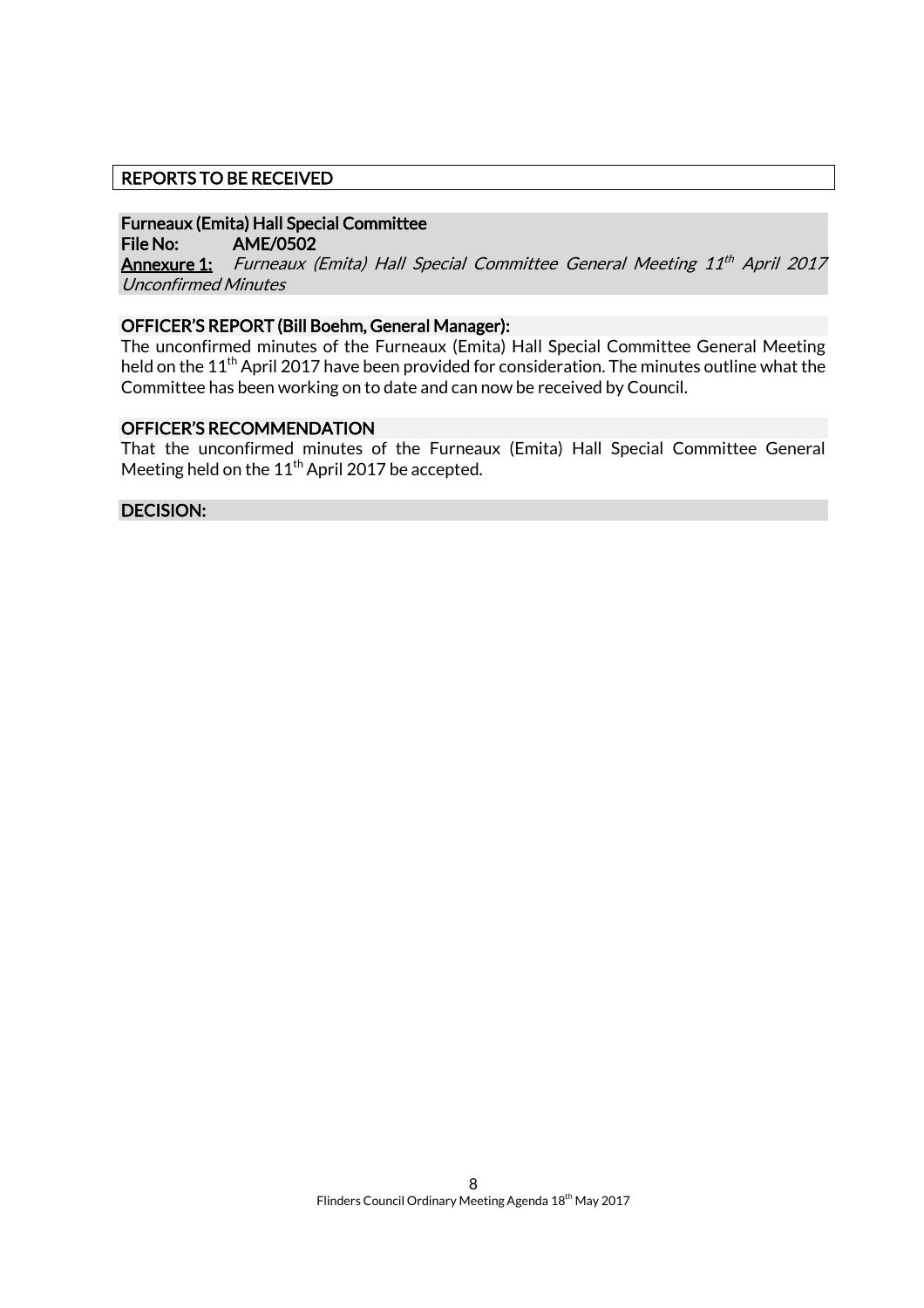### REPORTS TO BE RECEIVED

# Furneaux (Emita) Hall Special Committee

File No: AME/0502

**<u>Annexure 1:</u>** Furneaux (Emita) Hall Special Committee General Meeting 11<sup>th</sup> April 2017 Unconfirmed Minutes

#### OFFICER'S REPORT (Bill Boehm, General Manager):

The unconfirmed minutes of the Furneaux (Emita) Hall Special Committee General Meeting held on the 11<sup>th</sup> April 2017 have been provided for consideration. The minutes outline what the Committee has been working on to date and can now be received by Council.

#### OFFICER'S RECOMMENDATION

That the unconfirmed minutes of the Furneaux (Emita) Hall Special Committee General Meeting held on the 11<sup>th</sup> April 2017 be accepted.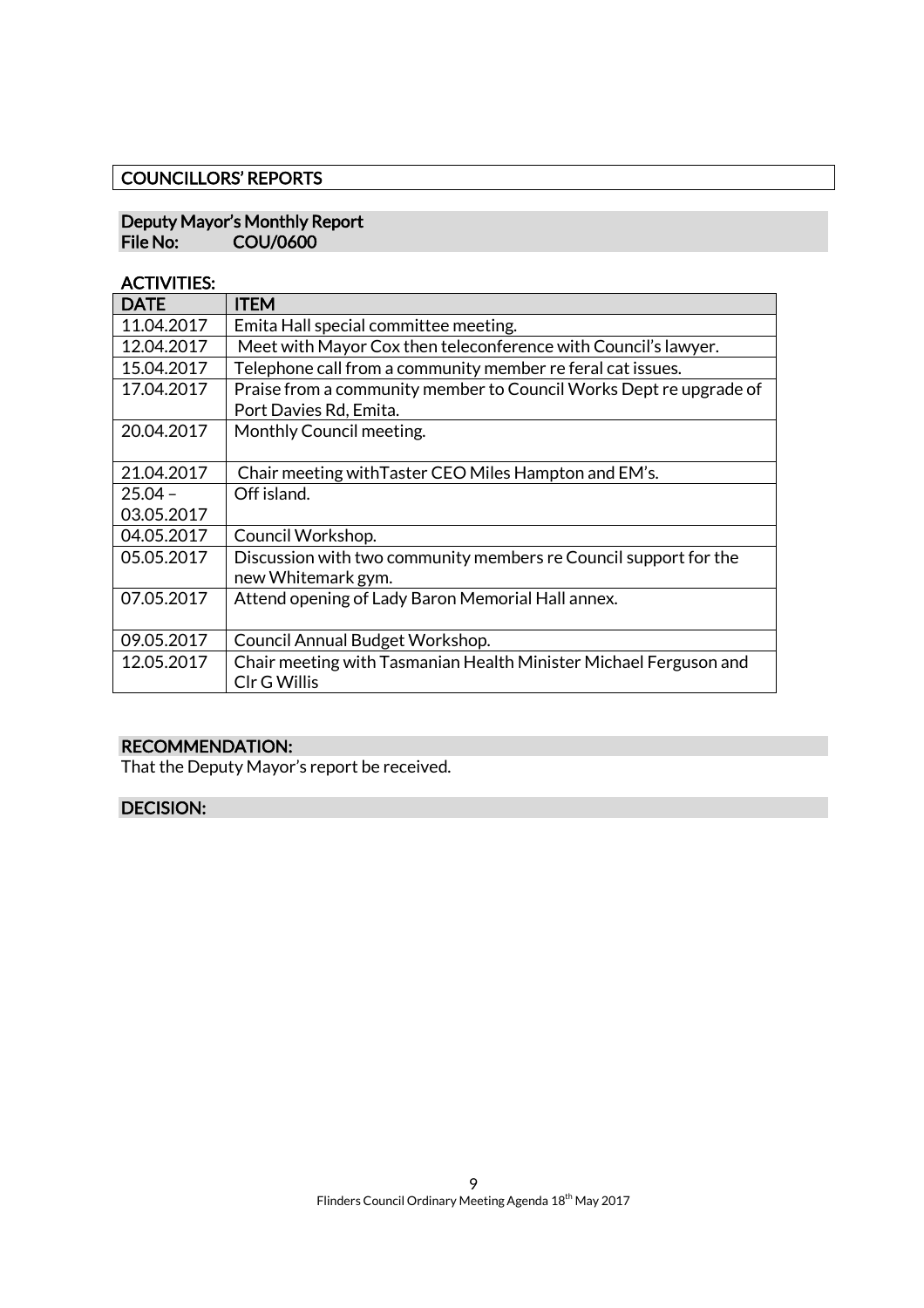# COUNCILLORS' REPORTS

# Deputy Mayor's Monthly Report COU/0600

### ACTIVITIES:

| <b>DATE</b> | <b>ITEM</b>                                                                       |
|-------------|-----------------------------------------------------------------------------------|
| 11.04.2017  | Emita Hall special committee meeting.                                             |
| 12.04.2017  | Meet with Mayor Cox then teleconference with Council's lawyer.                    |
| 15.04.2017  | Telephone call from a community member re feral cat issues.                       |
| 17.04.2017  | Praise from a community member to Council Works Dept re upgrade of                |
|             | Port Davies Rd, Emita.                                                            |
| 20.04.2017  | Monthly Council meeting.                                                          |
| 21.04.2017  | Chair meeting with Taster CEO Miles Hampton and EM's.                             |
| $25.04 -$   | Off island.                                                                       |
| 03.05.2017  |                                                                                   |
| 04.05.2017  | Council Workshop.                                                                 |
| 05.05.2017  | Discussion with two community members re Council support for the                  |
|             | new Whitemark gym.                                                                |
| 07.05.2017  | Attend opening of Lady Baron Memorial Hall annex.                                 |
| 09.05.2017  | Council Annual Budget Workshop.                                                   |
| 12.05.2017  | Chair meeting with Tasmanian Health Minister Michael Ferguson and<br>CIr G Willis |

# RECOMMENDATION:

That the Deputy Mayor's report be received.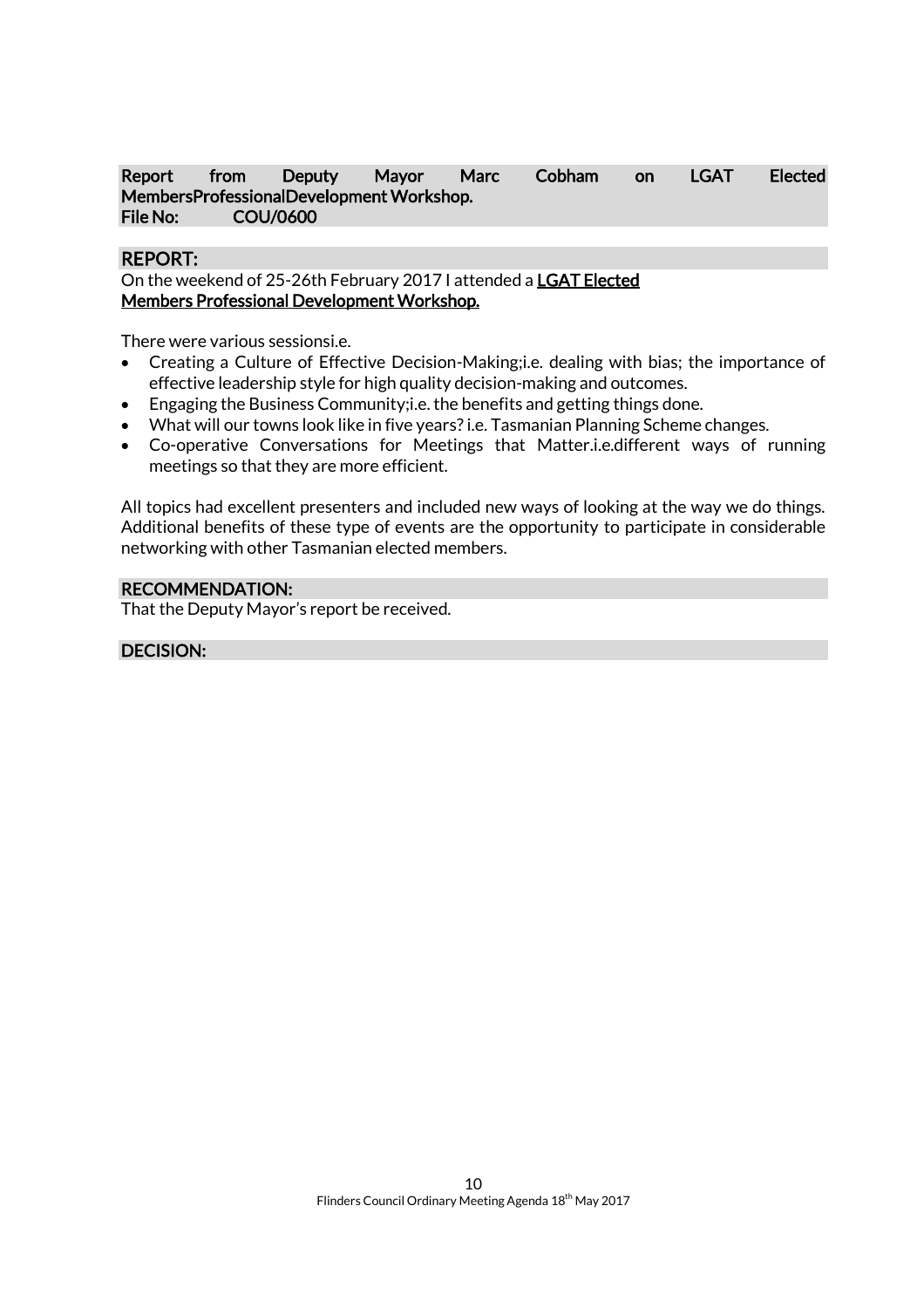#### Report from Deputy Mayor Marc Cobham on LGAT Elected Members Professional Development Workshop. File No: COU/0600

#### REPORT:

On the weekend of 25-26th February 2017 I attended a LGAT Elected Members Professional Development Workshop.

There were various sessionsi.e.

- Creating a Culture of Effective Decision-Making;i.e. dealing with bias; the importance of effective leadership style for high quality decision-making and outcomes.
- Engaging the Business Community;i.e. the benefits and getting things done.
- What will our towns look like in five years? i.e. Tasmanian Planning Scheme changes.
- Co-operative Conversations for Meetings that Matter.i.e.different ways of running meetings so that they are more efficient.

All topics had excellent presenters and included new ways of looking at the way we do things. Additional benefits of these type of events are the opportunity to participate in considerable networking with other Tasmanian elected members.

#### RECOMMENDATION:

That the Deputy Mayor's report be received.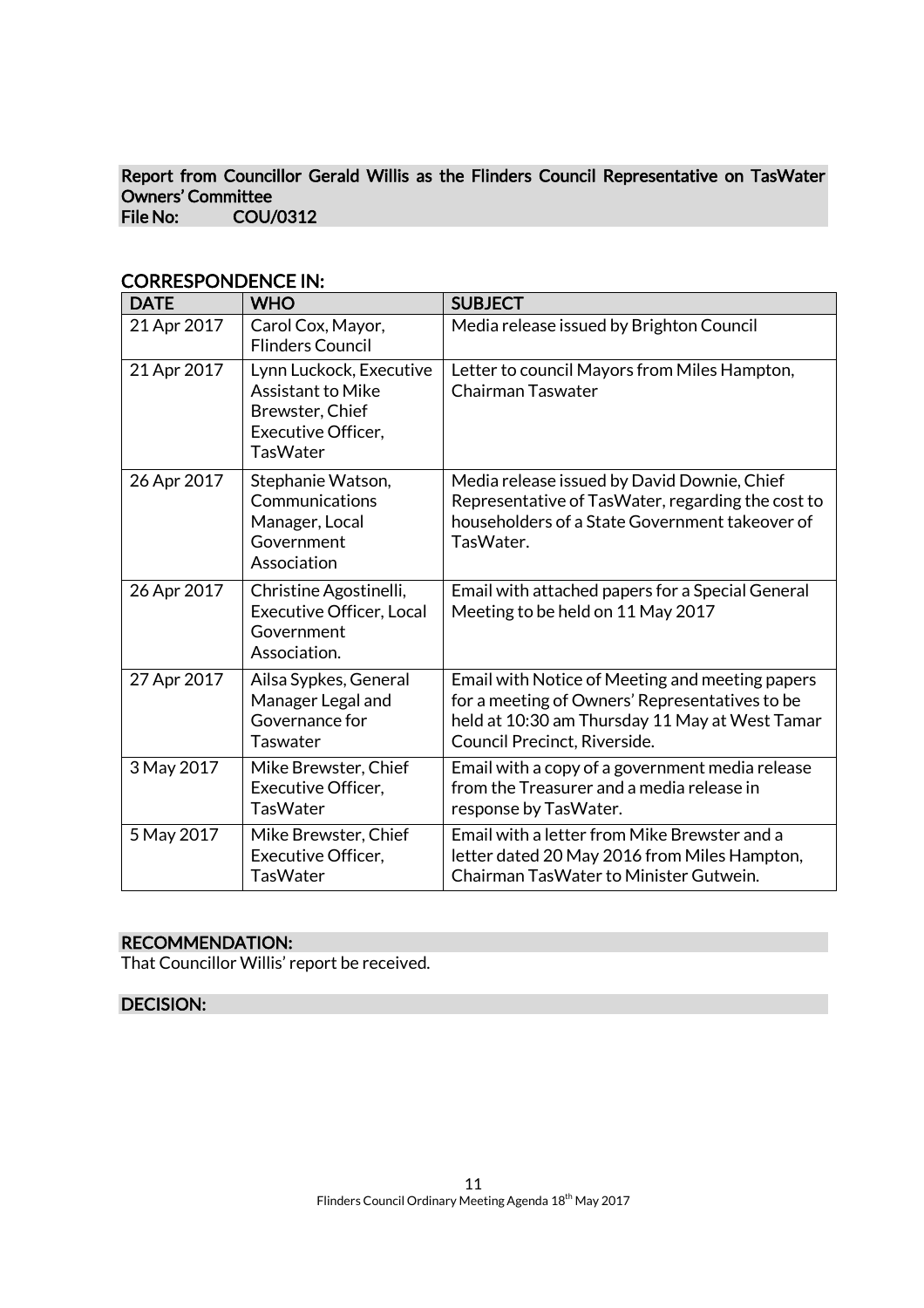#### Report from Councillor Gerald Willis as the Flinders Council Representative on TasWater Owners' Committee  $COMI/0212$

| File No: | COU/U312 |
|----------|----------|
|          |          |

| <b>DATE</b> | <b>WHO</b>                                                                                                             | <b>SUBJECT</b>                                                                                                                                                                      |
|-------------|------------------------------------------------------------------------------------------------------------------------|-------------------------------------------------------------------------------------------------------------------------------------------------------------------------------------|
| 21 Apr 2017 | Carol Cox, Mayor,<br><b>Flinders Council</b>                                                                           | Media release issued by Brighton Council                                                                                                                                            |
| 21 Apr 2017 | Lynn Luckock, Executive<br><b>Assistant to Mike</b><br>Brewster, Chief<br><b>Executive Officer,</b><br><b>TasWater</b> | Letter to council Mayors from Miles Hampton,<br><b>Chairman Taswater</b>                                                                                                            |
| 26 Apr 2017 | Stephanie Watson,<br>Communications<br>Manager, Local<br>Government<br>Association                                     | Media release issued by David Downie, Chief<br>Representative of TasWater, regarding the cost to<br>householders of a State Government takeover of<br>TasWater.                     |
| 26 Apr 2017 | Christine Agostinelli,<br><b>Executive Officer, Local</b><br>Government<br>Association.                                | Email with attached papers for a Special General<br>Meeting to be held on 11 May 2017                                                                                               |
| 27 Apr 2017 | Ailsa Sypkes, General<br>Manager Legal and<br>Governance for<br><b>Taswater</b>                                        | Email with Notice of Meeting and meeting papers<br>for a meeting of Owners' Representatives to be<br>held at 10:30 am Thursday 11 May at West Tamar<br>Council Precinct, Riverside. |
| 3 May 2017  | Mike Brewster, Chief<br>Executive Officer,<br><b>TasWater</b>                                                          | Email with a copy of a government media release<br>from the Treasurer and a media release in<br>response by TasWater.                                                               |
| 5 May 2017  | Mike Brewster, Chief<br><b>Executive Officer,</b><br><b>TasWater</b>                                                   | Email with a letter from Mike Brewster and a<br>letter dated 20 May 2016 from Miles Hampton,<br>Chairman TasWater to Minister Gutwein.                                              |

# CORRESPONDENCE IN:

# RECOMMENDATION:

That Councillor Willis' report be received.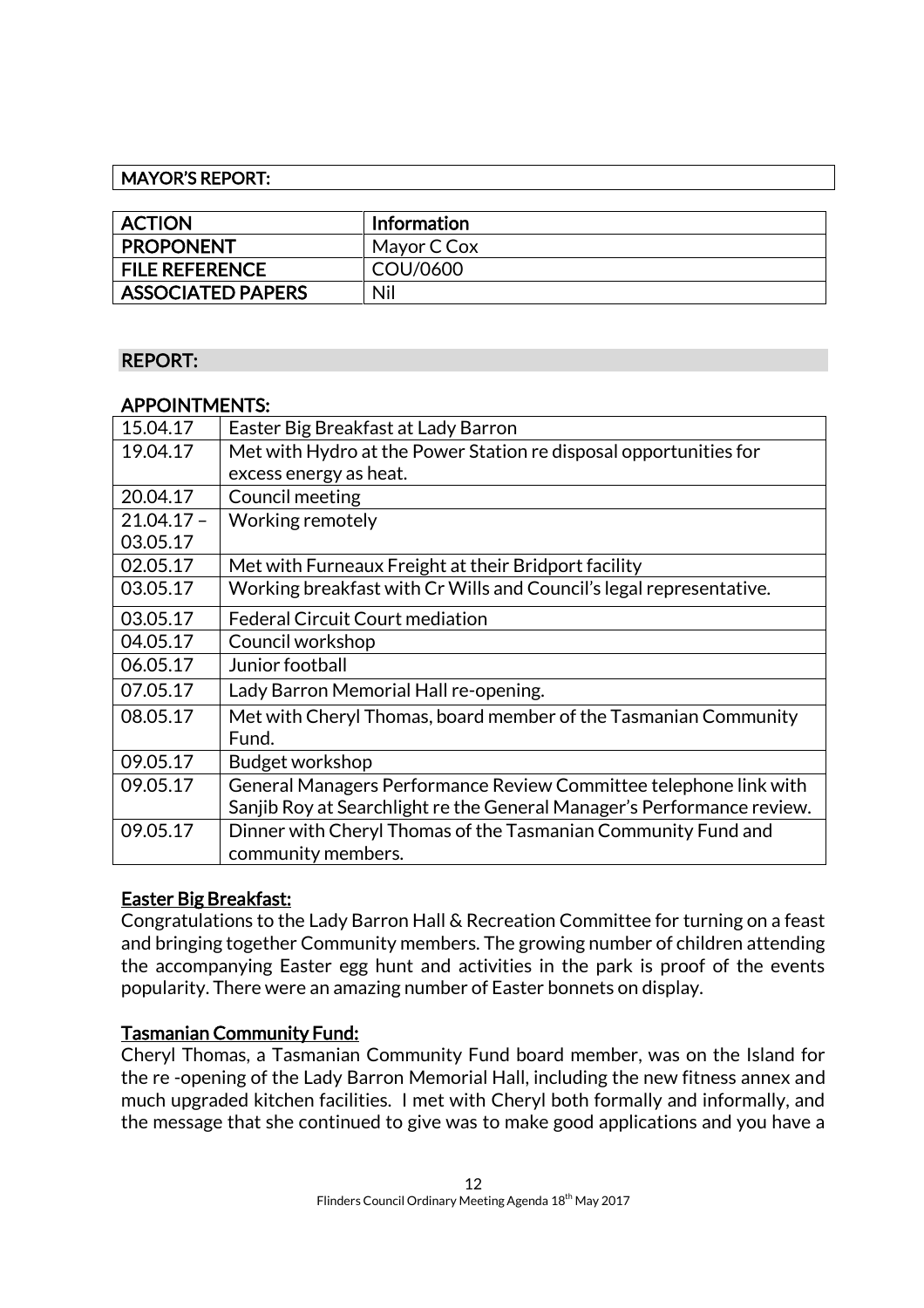# MAYOR'S REPORT:

| <b>ACTION</b>            | <b>Information</b> |
|--------------------------|--------------------|
| <b>PROPONENT</b>         | Mayor C Cox        |
| <b>FILE REFERENCE</b>    | COU/0600           |
| <b>ASSOCIATED PAPERS</b> | Nil                |

# REPORT:

# APPOINTMENTS:

| 15.04.17     | Easter Big Breakfast at Lady Barron                                    |
|--------------|------------------------------------------------------------------------|
| 19.04.17     | Met with Hydro at the Power Station re disposal opportunities for      |
|              | excess energy as heat.                                                 |
| 20.04.17     | Council meeting                                                        |
| $21.04.17 -$ | Working remotely                                                       |
| 03.05.17     |                                                                        |
| 02.05.17     | Met with Furneaux Freight at their Bridport facility                   |
| 03.05.17     | Working breakfast with Cr Wills and Council's legal representative.    |
| 03.05.17     | <b>Federal Circuit Court mediation</b>                                 |
| 04.05.17     | Council workshop                                                       |
| 06.05.17     | Junior football                                                        |
| 07.05.17     | Lady Barron Memorial Hall re-opening.                                  |
| 08.05.17     | Met with Cheryl Thomas, board member of the Tasmanian Community        |
|              | Fund.                                                                  |
| 09.05.17     | Budget workshop                                                        |
| 09.05.17     | General Managers Performance Review Committee telephone link with      |
|              | Sanjib Roy at Searchlight re the General Manager's Performance review. |
| 09.05.17     | Dinner with Cheryl Thomas of the Tasmanian Community Fund and          |
|              | community members.                                                     |

# Easter Big Breakfast:

Congratulations to the Lady Barron Hall & Recreation Committee for turning on a feast and bringing together Community members. The growing number of children attending the accompanying Easter egg hunt and activities in the park is proof of the events popularity. There were an amazing number of Easter bonnets on display.

# Tasmanian Community Fund:

Cheryl Thomas, a Tasmanian Community Fund board member, was on the Island for the re -opening of the Lady Barron Memorial Hall, including the new fitness annex and much upgraded kitchen facilities. I met with Cheryl both formally and informally, and the message that she continued to give was to make good applications and you have a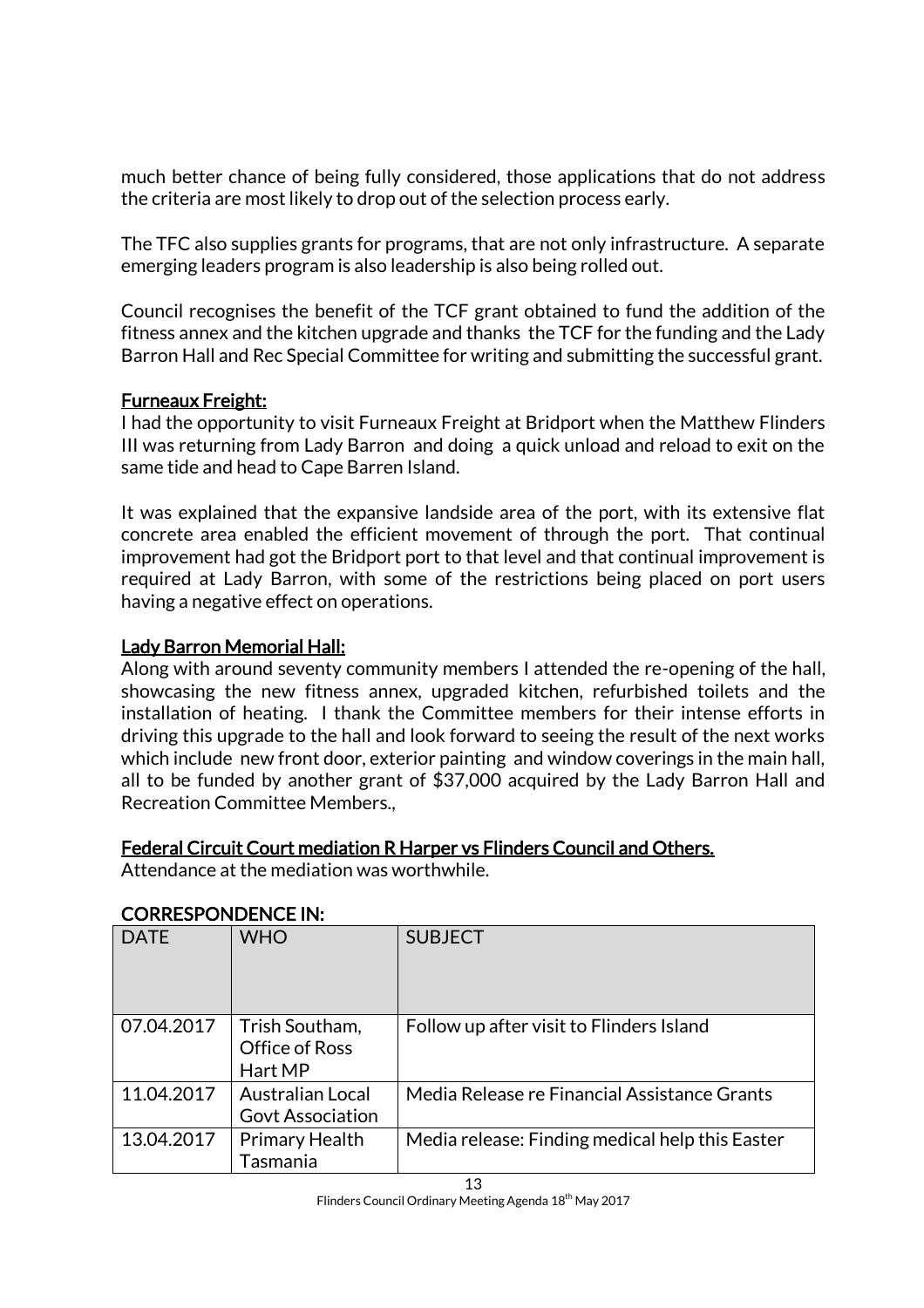much better chance of being fully considered, those applications that do not address the criteria are most likely to drop out of the selection process early.

The TFC also supplies grants for programs, that are not only infrastructure. A separate emerging leaders program is also leadership is also being rolled out.

Council recognises the benefit of the TCF grant obtained to fund the addition of the fitness annex and the kitchen upgrade and thanks the TCF for the funding and the Lady Barron Hall and Rec Special Committee for writing and submitting the successful grant.

# Furneaux Freight:

I had the opportunity to visit Furneaux Freight at Bridport when the Matthew Flinders III was returning from Lady Barron and doing a quick unload and reload to exit on the same tide and head to Cape Barren Island.

It was explained that the expansive landside area of the port, with its extensive flat concrete area enabled the efficient movement of through the port. That continual improvement had got the Bridport port to that level and that continual improvement is required at Lady Barron, with some of the restrictions being placed on port users having a negative effect on operations.

# Lady Barron Memorial Hall:

Along with around seventy community members I attended the re-opening of the hall, showcasing the new fitness annex, upgraded kitchen, refurbished toilets and the installation of heating. I thank the Committee members for their intense efforts in driving this upgrade to the hall and look forward to seeing the result of the next works which include new front door, exterior painting and window coverings in the main hall, all to be funded by another grant of \$37,000 acquired by the Lady Barron Hall and Recreation Committee Members.,

# Federal Circuit Court mediation R Harper vs Flinders Council and Others.

Attendance at the mediation was worthwhile.

| <b>DATE</b> | <b>WHO</b>                                         | <b>SUBJECT</b>                                  |
|-------------|----------------------------------------------------|-------------------------------------------------|
| 07.04.2017  | Trish Southam,<br>Office of Ross<br>Hart MP        | Follow up after visit to Flinders Island        |
| 11.04.2017  | <b>Australian Local</b><br><b>Govt Association</b> | Media Release re Financial Assistance Grants    |
| 13.04.2017  | <b>Primary Health</b><br>Tasmania                  | Media release: Finding medical help this Easter |

# CORRESPONDENCE IN: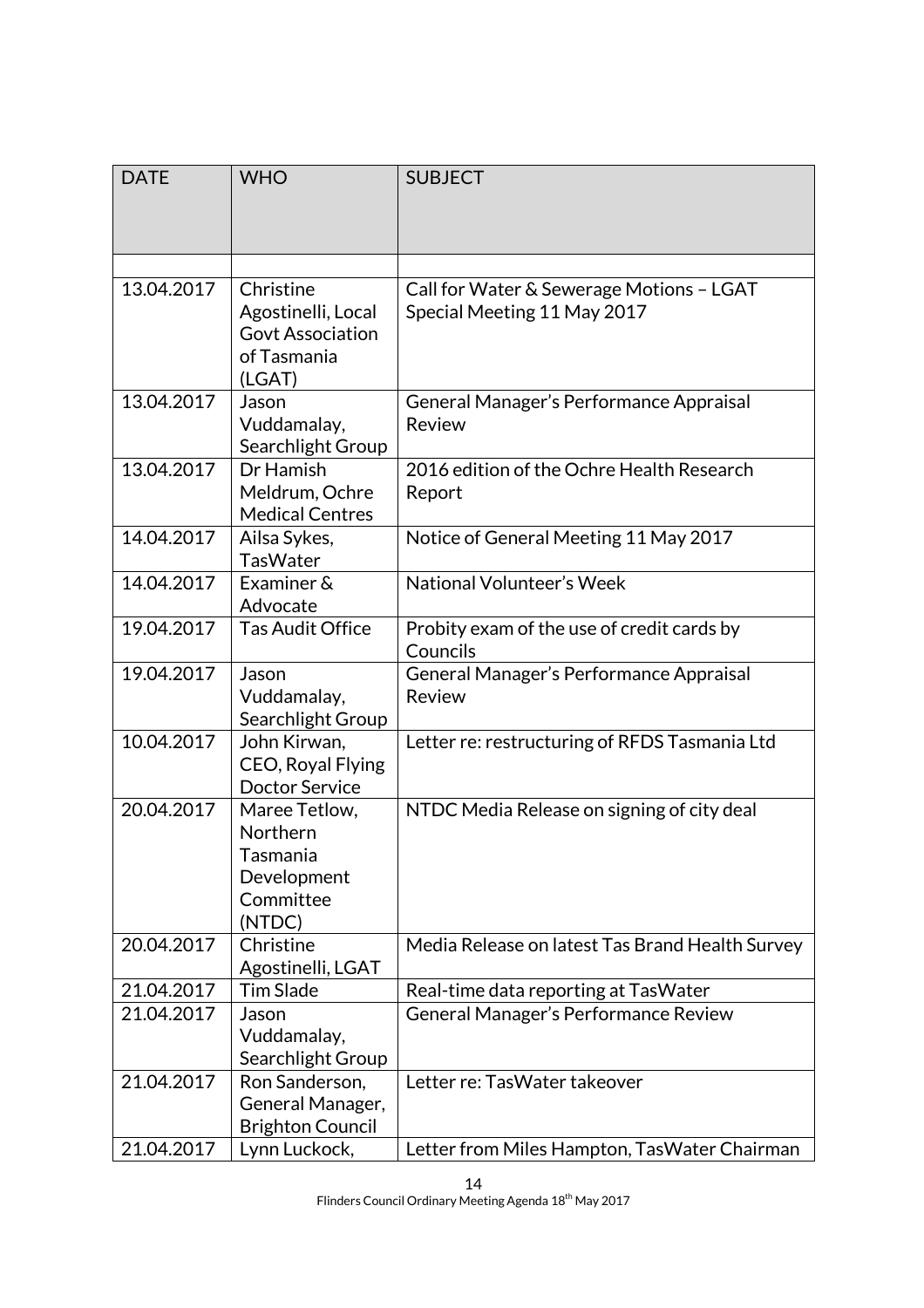| <b>DATE</b> | <b>WHO</b>                                                                          | <b>SUBJECT</b>                                                          |
|-------------|-------------------------------------------------------------------------------------|-------------------------------------------------------------------------|
|             |                                                                                     |                                                                         |
| 13.04.2017  | Christine<br>Agostinelli, Local<br><b>Govt Association</b><br>of Tasmania<br>(LGAT) | Call for Water & Sewerage Motions - LGAT<br>Special Meeting 11 May 2017 |
| 13.04.2017  | Jason<br>Vuddamalay,<br>Searchlight Group                                           | General Manager's Performance Appraisal<br>Review                       |
| 13.04.2017  | Dr Hamish<br>Meldrum, Ochre<br><b>Medical Centres</b>                               | 2016 edition of the Ochre Health Research<br>Report                     |
| 14.04.2017  | Ailsa Sykes,<br><b>TasWater</b>                                                     | Notice of General Meeting 11 May 2017                                   |
| 14.04.2017  | Examiner &<br>Advocate                                                              | National Volunteer's Week                                               |
| 19.04.2017  | <b>Tas Audit Office</b>                                                             | Probity exam of the use of credit cards by<br>Councils                  |
| 19.04.2017  | Jason<br>Vuddamalay,<br>Searchlight Group                                           | General Manager's Performance Appraisal<br>Review                       |
| 10.04.2017  | John Kirwan,<br>CEO, Royal Flying<br><b>Doctor Service</b>                          | Letter re: restructuring of RFDS Tasmania Ltd                           |
| 20.04.2017  | Maree Tetlow,<br>Northern<br>Tasmania<br>Development<br>Committee<br>(NTDC)         | NTDC Media Release on signing of city deal                              |
| 20.04.2017  | Christine<br>Agostinelli, LGAT                                                      | Media Release on latest Tas Brand Health Survey                         |
| 21.04.2017  | <b>Tim Slade</b>                                                                    | Real-time data reporting at TasWater                                    |
| 21.04.2017  | Jason<br>Vuddamalay,<br>Searchlight Group                                           | General Manager's Performance Review                                    |
| 21.04.2017  | Ron Sanderson,<br>General Manager,<br><b>Brighton Council</b>                       | Letter re: TasWater takeover                                            |
| 21.04.2017  | Lynn Luckock,                                                                       | Letter from Miles Hampton, TasWater Chairman                            |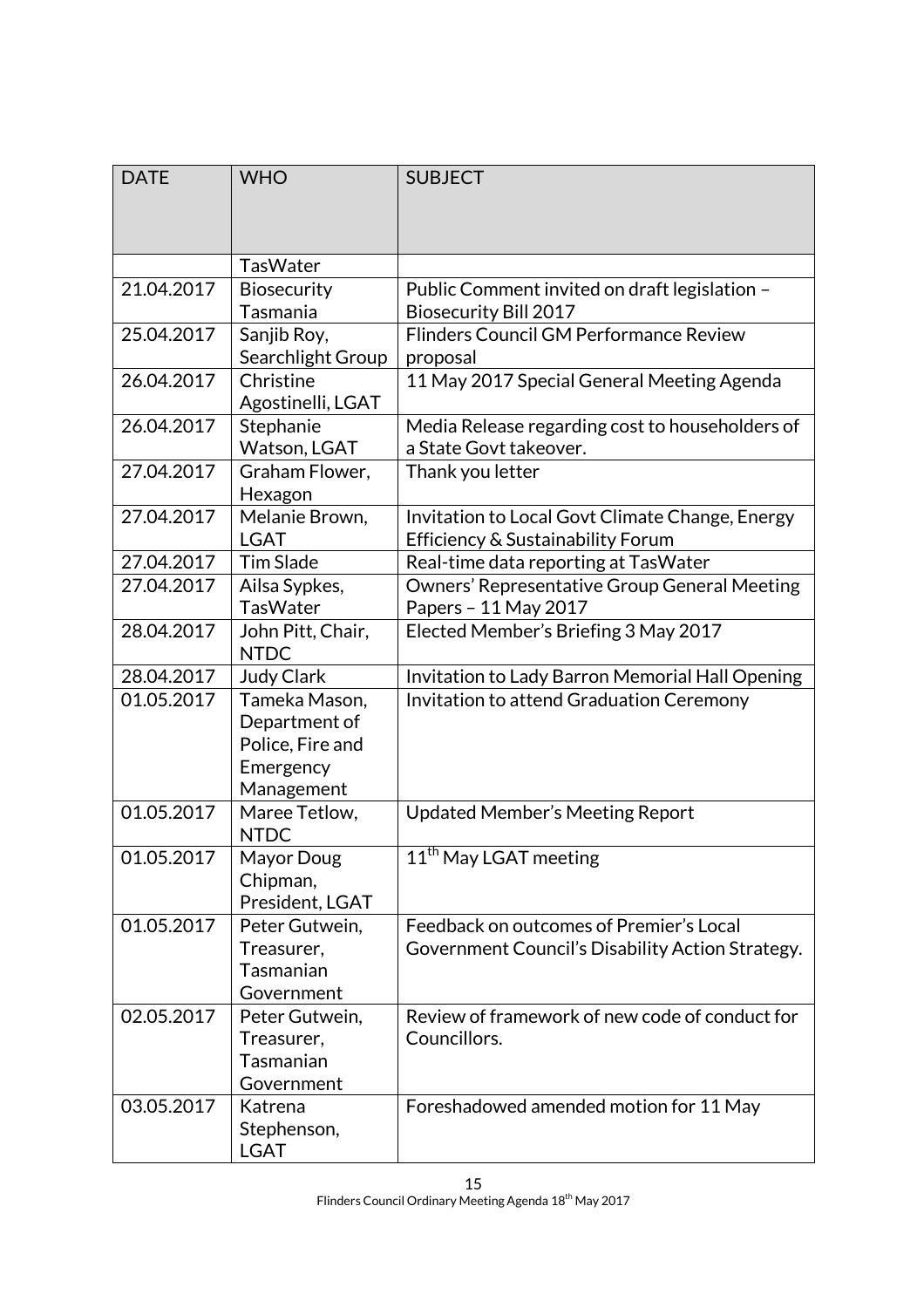| <b>DATE</b> | <b>WHO</b>                   | <b>SUBJECT</b>                                   |
|-------------|------------------------------|--------------------------------------------------|
|             |                              |                                                  |
|             |                              |                                                  |
|             | <b>TasWater</b>              |                                                  |
| 21.04.2017  | <b>Biosecurity</b>           | Public Comment invited on draft legislation -    |
|             | Tasmania                     | <b>Biosecurity Bill 2017</b>                     |
| 25.04.2017  | Sanjib Roy,                  | Flinders Council GM Performance Review           |
|             | Searchlight Group            | proposal                                         |
| 26.04.2017  | Christine                    | 11 May 2017 Special General Meeting Agenda       |
|             | Agostinelli, LGAT            |                                                  |
| 26.04.2017  | Stephanie                    | Media Release regarding cost to householders of  |
|             | Watson, LGAT                 | a State Govt takeover.                           |
| 27.04.2017  | Graham Flower,<br>Hexagon    | Thank you letter                                 |
| 27.04.2017  | Melanie Brown,               | Invitation to Local Govt Climate Change, Energy  |
|             | <b>LGAT</b>                  | Efficiency & Sustainability Forum                |
| 27.04.2017  | <b>Tim Slade</b>             | Real-time data reporting at TasWater             |
| 27.04.2017  | Ailsa Sypkes,                | Owners' Representative Group General Meeting     |
|             | <b>TasWater</b>              | Papers - 11 May 2017                             |
| 28.04.2017  | John Pitt, Chair,            | Elected Member's Briefing 3 May 2017             |
|             | <b>NTDC</b>                  |                                                  |
| 28.04.2017  | <b>Judy Clark</b>            | Invitation to Lady Barron Memorial Hall Opening  |
| 01.05.2017  | Tameka Mason,                | Invitation to attend Graduation Ceremony         |
|             | Department of                |                                                  |
|             | Police, Fire and             |                                                  |
|             | Emergency                    |                                                  |
|             | Management                   |                                                  |
| 01.05.2017  | Maree Tetlow,<br><b>NTDC</b> | <b>Updated Member's Meeting Report</b>           |
| 01.05.2017  | Mayor Doug                   | $11^{\text{th}}$ May LGAT meeting                |
|             | Chipman,                     |                                                  |
|             | President, LGAT              |                                                  |
| 01.05.2017  | Peter Gutwein,               | Feedback on outcomes of Premier's Local          |
|             | Treasurer,                   | Government Council's Disability Action Strategy. |
|             | Tasmanian                    |                                                  |
|             | Government                   |                                                  |
| 02.05.2017  | Peter Gutwein,               | Review of framework of new code of conduct for   |
|             | Treasurer,                   | Councillors.                                     |
|             | Tasmanian                    |                                                  |
|             | Government                   |                                                  |
| 03.05.2017  | Katrena                      | Foreshadowed amended motion for 11 May           |
|             | Stephenson,                  |                                                  |
|             | <b>LGAT</b>                  |                                                  |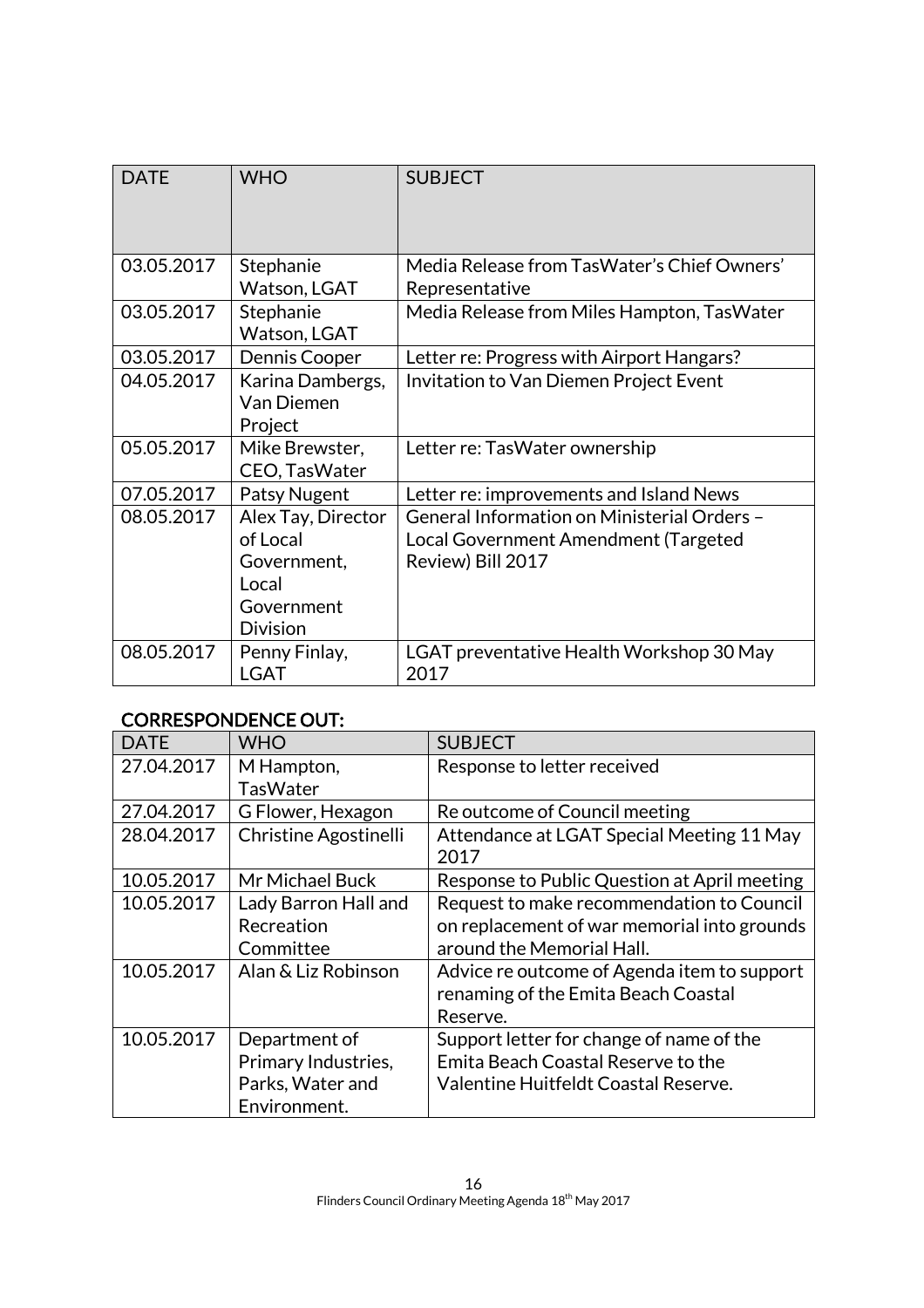| <b>DATE</b> | <b>WHO</b>                                                                              | <b>SUBJECT</b>                                                                                           |
|-------------|-----------------------------------------------------------------------------------------|----------------------------------------------------------------------------------------------------------|
| 03.05.2017  | Stephanie<br>Watson, LGAT                                                               | Media Release from TasWater's Chief Owners'<br>Representative                                            |
| 03.05.2017  | Stephanie<br>Watson, LGAT                                                               | Media Release from Miles Hampton, TasWater                                                               |
| 03.05.2017  | Dennis Cooper                                                                           | Letter re: Progress with Airport Hangars?                                                                |
| 04.05.2017  | Karina Dambergs,<br>Van Diemen<br>Project                                               | Invitation to Van Diemen Project Event                                                                   |
| 05.05.2017  | Mike Brewster,<br>CEO, TasWater                                                         | Letter re: TasWater ownership                                                                            |
| 07.05.2017  | Patsy Nugent                                                                            | Letter re: improvements and Island News                                                                  |
| 08.05.2017  | Alex Tay, Director<br>of Local<br>Government,<br>Local<br>Government<br><b>Division</b> | General Information on Ministerial Orders -<br>Local Government Amendment (Targeted<br>Review) Bill 2017 |
| 08.05.2017  | Penny Finlay,<br><b>LGAT</b>                                                            | LGAT preventative Health Workshop 30 May<br>2017                                                         |

# CORRESPONDENCE OUT:

| <b>DATE</b> | <b>WHO</b>                   | <b>SUBJECT</b>                                    |
|-------------|------------------------------|---------------------------------------------------|
| 27.04.2017  | M Hampton,                   | Response to letter received                       |
|             | <b>TasWater</b>              |                                                   |
| 27.04.2017  | G Flower, Hexagon            | Re outcome of Council meeting                     |
| 28.04.2017  | <b>Christine Agostinelli</b> | Attendance at LGAT Special Meeting 11 May<br>2017 |
| 10.05.2017  | Mr Michael Buck              | Response to Public Question at April meeting      |
| 10.05.2017  | Lady Barron Hall and         | Request to make recommendation to Council         |
|             | Recreation                   | on replacement of war memorial into grounds       |
|             | Committee                    | around the Memorial Hall.                         |
| 10.05.2017  | Alan & Liz Robinson          | Advice re outcome of Agenda item to support       |
|             |                              | renaming of the Emita Beach Coastal               |
|             |                              | Reserve.                                          |
| 10.05.2017  | Department of                | Support letter for change of name of the          |
|             | Primary Industries,          | Emita Beach Coastal Reserve to the                |
|             | Parks, Water and             | Valentine Huitfeldt Coastal Reserve.              |
|             | Environment.                 |                                                   |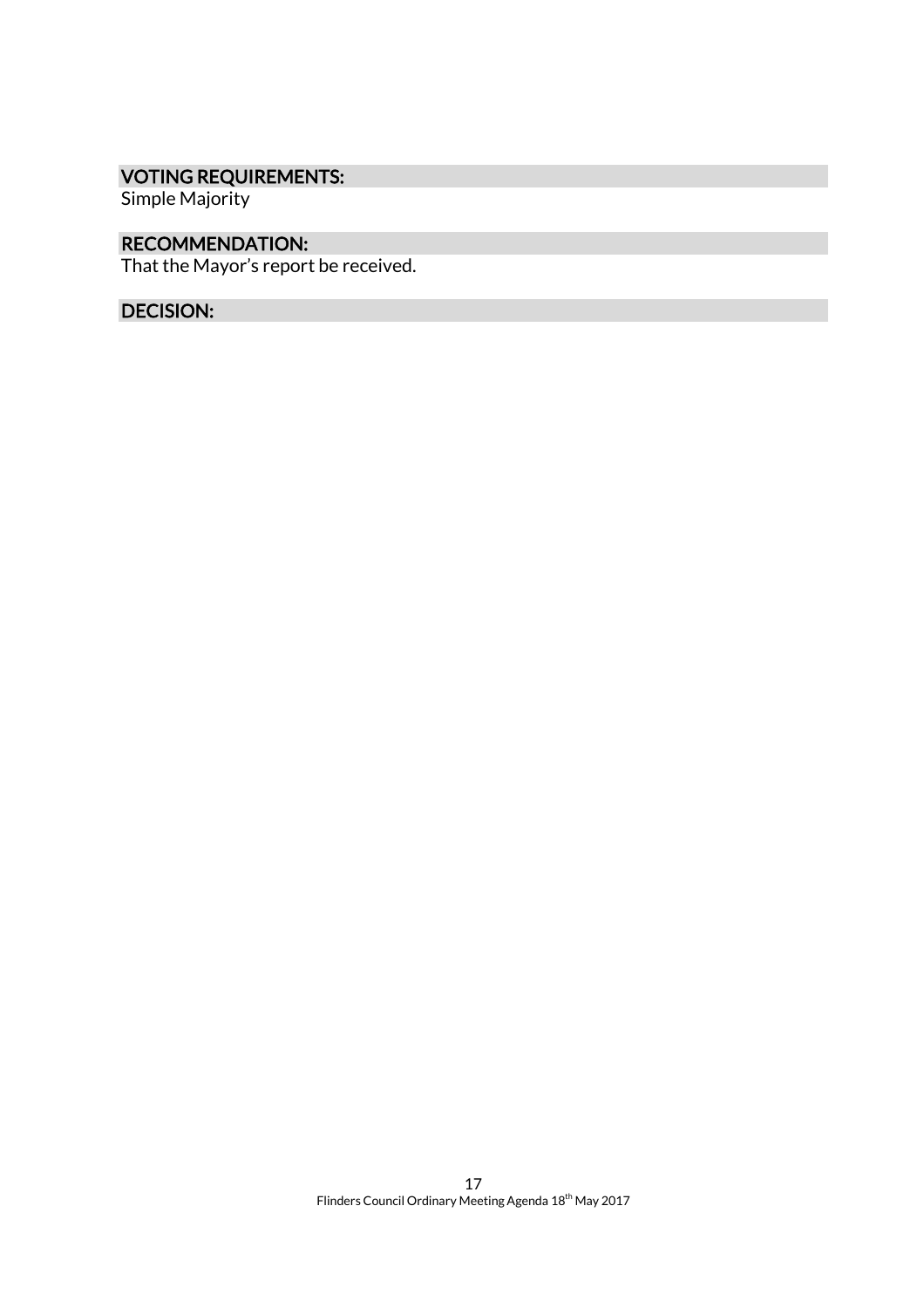# VOTING REQUIREMENTS:

Simple Majority

# RECOMMENDATION:

That the Mayor's report be received.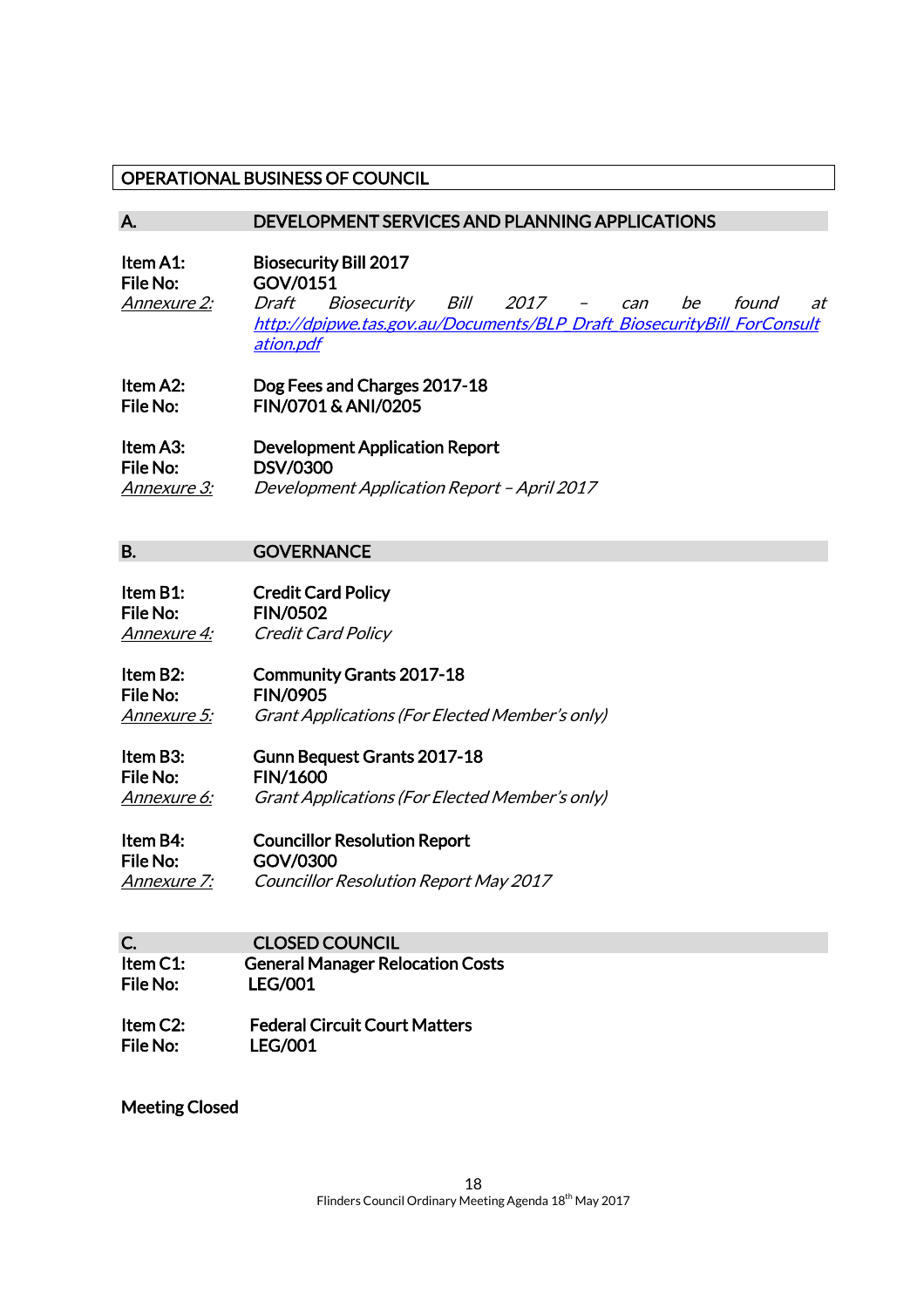# OPERATIONAL BUSINESS OF COUNCIL

#### A. DEVELOPMENT SERVICES AND PLANNING APPLICATIONS

| Item A1:<br>File No: | GOV/0151  | <b>Biosecurity Bill 2017</b>                                            |  |     |    |       |    |
|----------------------|-----------|-------------------------------------------------------------------------|--|-----|----|-------|----|
| <i>Annexure 2:</i>   |           | Draft Biosecurity Bill 2017 -                                           |  | can | be | found | at |
|                      |           | http://dpipwe.tas.gov.au/Documents/BLP Draft BiosecurityBill ForConsult |  |     |    |       |    |
|                      | ation.pdf |                                                                         |  |     |    |       |    |

### Item A2: Dog Fees and Charges 2017-18<br>File No: FIN/0701 & ANI/0205 File No: FIN/0701 & ANI/0205

| Item A3:           | <b>Development Application Report</b>       |
|--------------------|---------------------------------------------|
| File No:           | <b>DSV/0300</b>                             |
| <i>Annexure 3:</i> | Development Application Report - April 2017 |

#### B. **GOVERNANCE**

| Item B1:           | <b>Credit Card Policy</b> |
|--------------------|---------------------------|
| File No:           | <b>FIN/0502</b>           |
| <i>Annexure 4:</i> | Credit Card Policy        |

| Item B2:           | <b>Community Grants 2017-18</b>                |
|--------------------|------------------------------------------------|
| File No:           | <b>FIN/0905</b>                                |
| <i>Annexure 5:</i> | Grant Applications (For Elected Member's only) |

| Item B3:           | Gunn Bequest Grants 2017-18                    |
|--------------------|------------------------------------------------|
| File No:           | <b>FIN/1600</b>                                |
| <i>Annexure 6:</i> | Grant Applications (For Elected Member's only) |

| Item B4:           | <b>Councillor Resolution Report</b>          |
|--------------------|----------------------------------------------|
| File No:           | GOV/0300                                     |
| <i>Annexure 7:</i> | <b>Councillor Resolution Report May 2017</b> |

C. CLOSED COUNCIL<br>Item C1: General Manager Rele Item C1: General Manager Relocation Costs<br>File No: LEG/001 LEG/001

Item C2: Federal Circuit Court Matters File No: LEG/001

Meeting Closed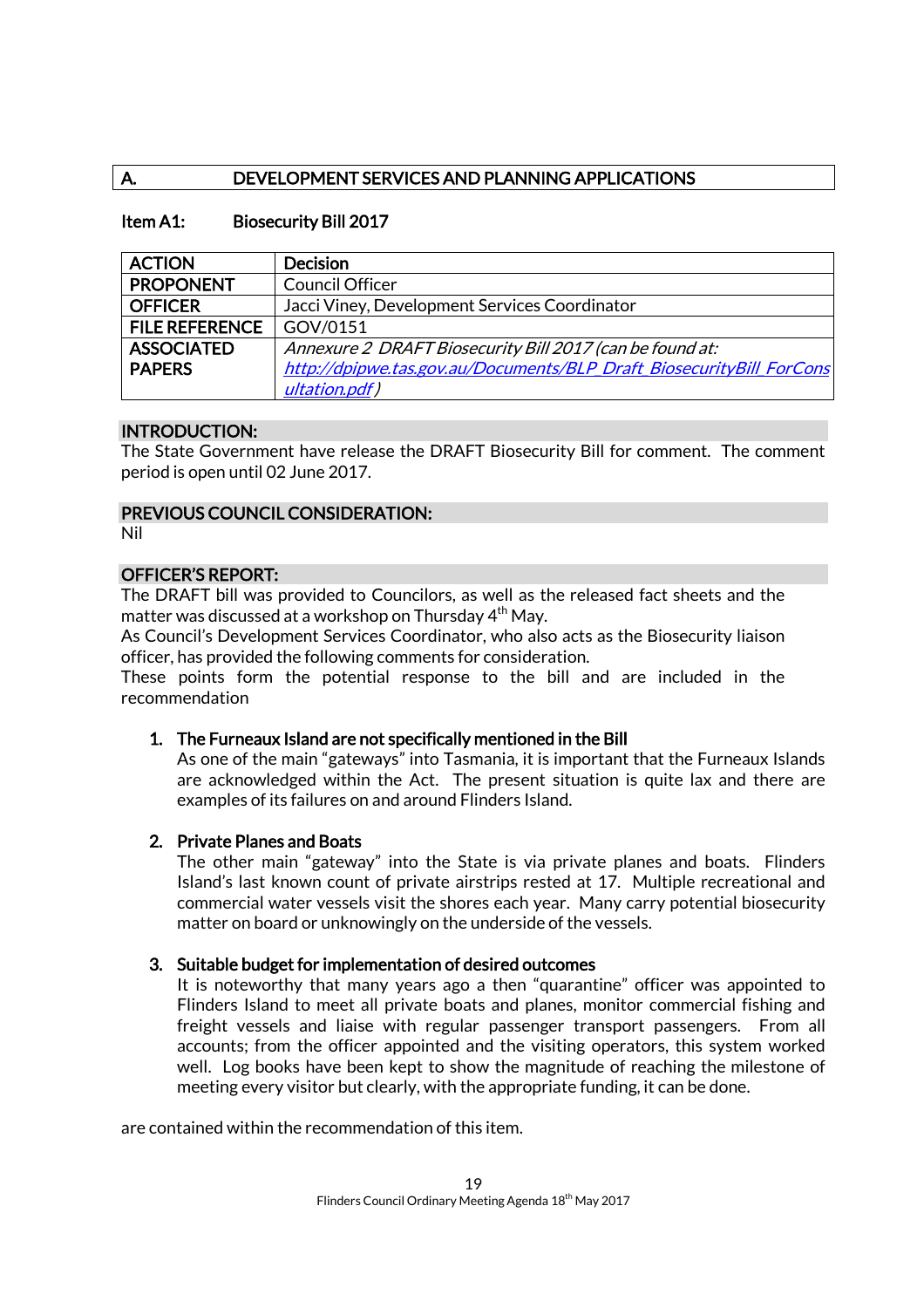# A. DEVELOPMENT SERVICES AND PLANNING APPLICATIONS

# Item A1: Biosecurity Bill 2017

| <b>ACTION</b>         | <b>Decision</b>                                                      |
|-----------------------|----------------------------------------------------------------------|
| <b>PROPONENT</b>      | <b>Council Officer</b>                                               |
| <b>OFFICER</b>        | Jacci Viney, Development Services Coordinator                        |
| <b>FILE REFERENCE</b> | GOV/0151                                                             |
| <b>ASSOCIATED</b>     | Annexure 2 DRAFT Biosecurity Bill 2017 (can be found at:             |
| <b>PAPERS</b>         | http://dpipwe.tas.gov.au/Documents/BLP Draft BiosecurityBill ForCons |
|                       | ultation.pdf)                                                        |

# INTRODUCTION:

The State Government have release the DRAFT Biosecurity Bill for comment. The comment period is open until 02 June 2017.

# PREVIOUS COUNCIL CONSIDERATION:

Nil

#### OFFICER'S REPORT:

The DRAFT bill was provided to Councilors, as well as the released fact sheets and the matter was discussed at a workshop on Thursday  $4<sup>th</sup>$  May.

As Council's Development Services Coordinator, who also acts as the Biosecurity liaison officer, has provided the following comments for consideration.

These points form the potential response to the bill and are included in the recommendation

# 1. The Furneaux Island are not specifically mentioned in the Bill

As one of the main "gateways" into Tasmania, it is important that the Furneaux Islands are acknowledged within the Act. The present situation is quite lax and there are examples of its failures on and around Flinders Island.

# 2. Private Planes and Boats

The other main "gateway" into the State is via private planes and boats. Flinders Island's last known count of private airstrips rested at 17. Multiple recreational and commercial water vessels visit the shores each year. Many carry potential biosecurity matter on board or unknowingly on the underside of the vessels.

#### 3. Suitable budget for implementation of desired outcomes

It is noteworthy that many years ago a then "quarantine" officer was appointed to Flinders Island to meet all private boats and planes, monitor commercial fishing and freight vessels and liaise with regular passenger transport passengers. From all accounts; from the officer appointed and the visiting operators, this system worked well. Log books have been kept to show the magnitude of reaching the milestone of meeting every visitor but clearly, with the appropriate funding, it can be done.

are contained within the recommendation of this item.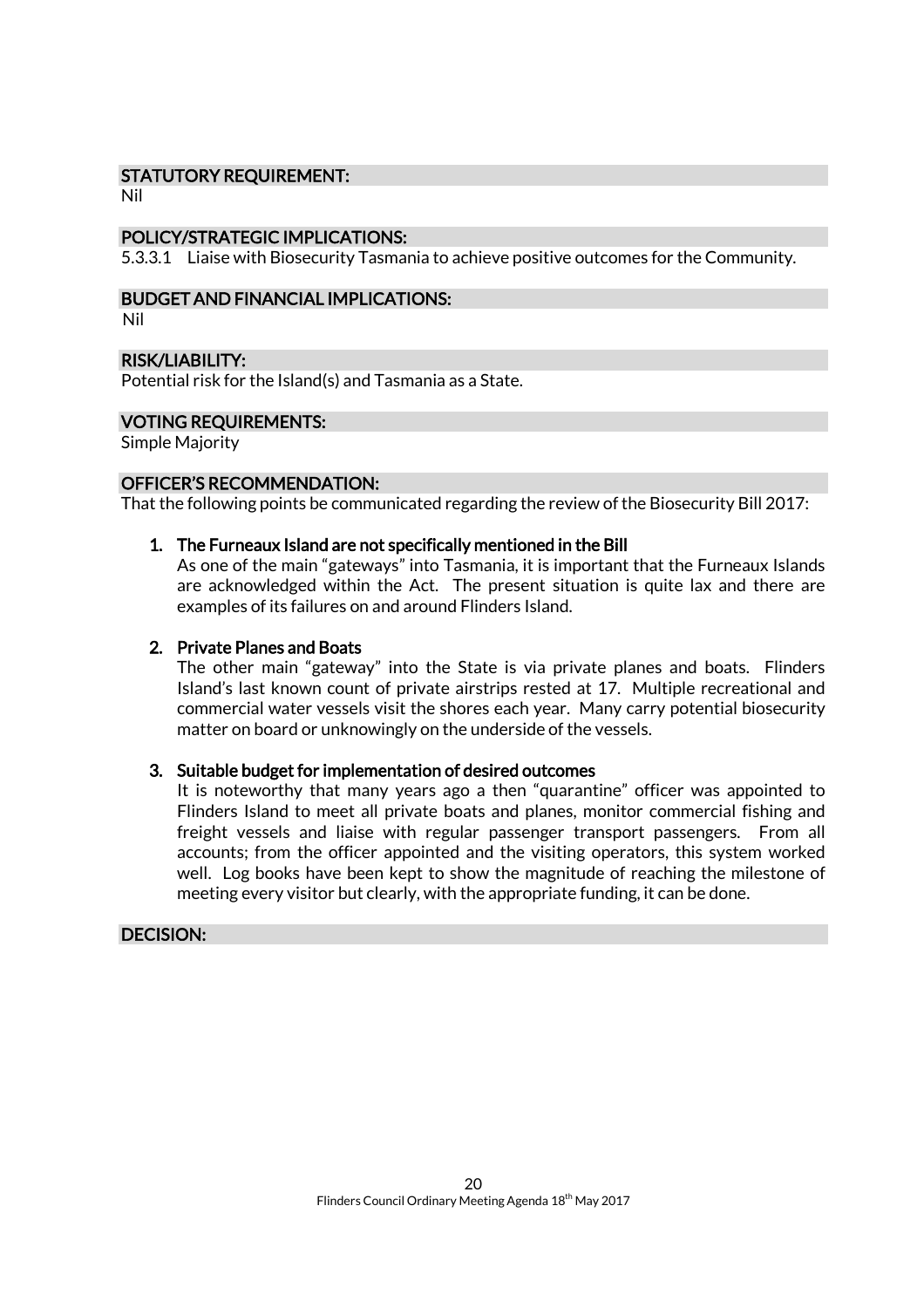#### STATUTORY REQUIREMENT:

Nil

#### POLICY/STRATEGIC IMPLICATIONS:

5.3.3.1 Liaise with Biosecurity Tasmania to achieve positive outcomes for the Community.

#### BUDGET AND FINANCIAL IMPLICATIONS:

Nil

#### RISK/LIABILITY:

Potential risk for the Island(s) and Tasmania as a State.

#### VOTING REQUIREMENTS:

Simple Majority

#### OFFICER'S RECOMMENDATION:

That the following points be communicated regarding the review of the Biosecurity Bill 2017:

#### 1. The Furneaux Island are not specifically mentioned in the Bill

As one of the main "gateways" into Tasmania, it is important that the Furneaux Islands are acknowledged within the Act. The present situation is quite lax and there are examples of its failures on and around Flinders Island.

#### 2. Private Planes and Boats

The other main "gateway" into the State is via private planes and boats. Flinders Island's last known count of private airstrips rested at 17. Multiple recreational and commercial water vessels visit the shores each year. Many carry potential biosecurity matter on board or unknowingly on the underside of the vessels.

#### 3. Suitable budget for implementation of desired outcomes

It is noteworthy that many years ago a then "quarantine" officer was appointed to Flinders Island to meet all private boats and planes, monitor commercial fishing and freight vessels and liaise with regular passenger transport passengers. From all accounts; from the officer appointed and the visiting operators, this system worked well. Log books have been kept to show the magnitude of reaching the milestone of meeting every visitor but clearly, with the appropriate funding, it can be done.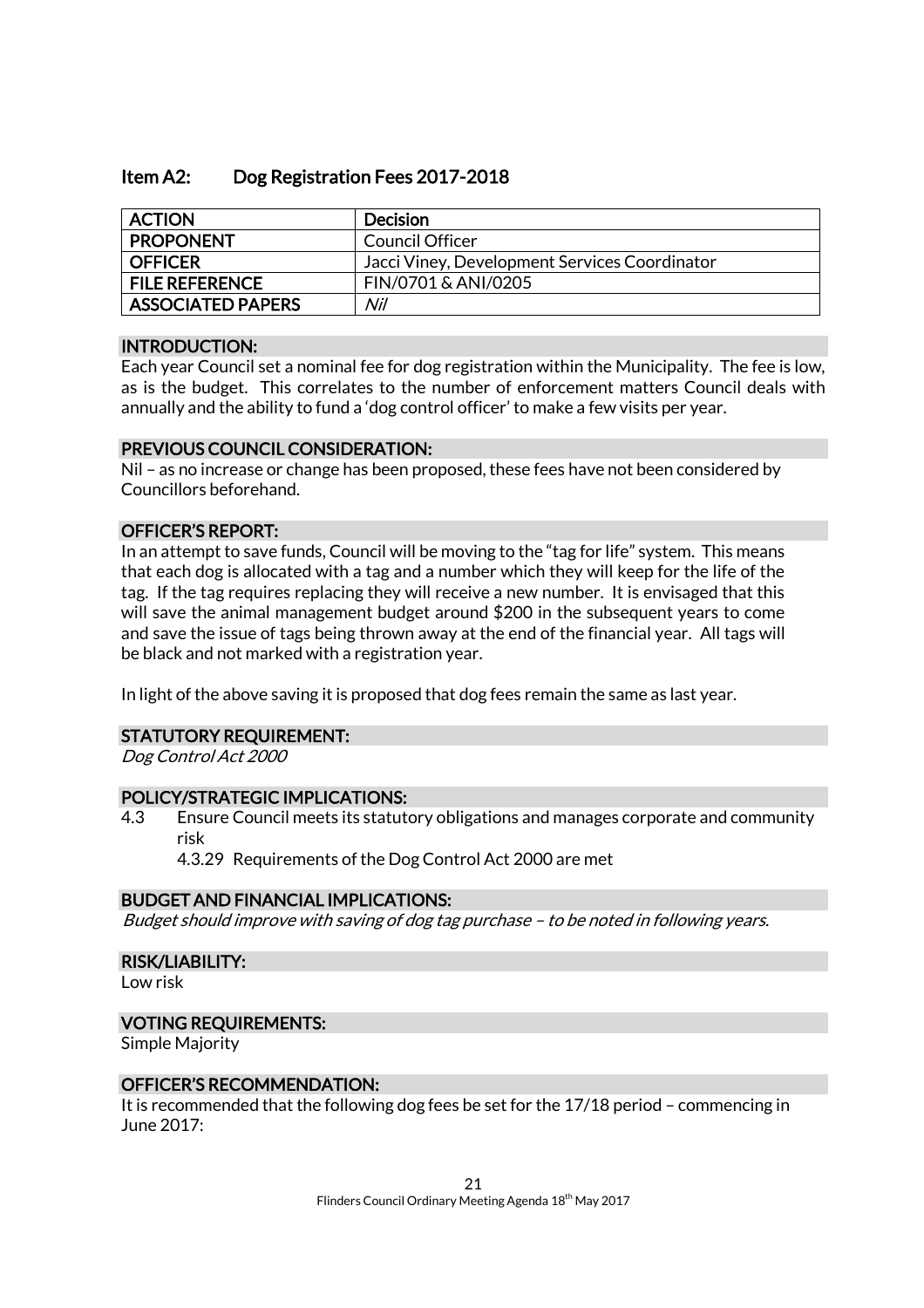# Item A2: Dog Registration Fees 2017-2018

| <b>ACTION</b>            | <b>Decision</b>                               |
|--------------------------|-----------------------------------------------|
| <b>PROPONENT</b>         | Council Officer                               |
| <b>OFFICER</b>           | Jacci Viney, Development Services Coordinator |
| <b>FILE REFERENCE</b>    | FIN/0701 & ANI/0205                           |
| <b>ASSOCIATED PAPERS</b> | Nil                                           |

#### INTRODUCTION:

Each year Council set a nominal fee for dog registration within the Municipality. The fee is low, as is the budget. This correlates to the number of enforcement matters Council deals with annually and the ability to fund a 'dog control officer' to make a few visits per year.

#### PREVIOUS COUNCIL CONSIDERATION:

Nil – as no increase or change has been proposed, these fees have not been considered by Councillors beforehand.

#### OFFICER'S REPORT:

In an attempt to save funds, Council will be moving to the "tag for life" system. This means that each dog is allocated with a tag and a number which they will keep for the life of the tag. If the tag requires replacing they will receive a new number. It is envisaged that this will save the animal management budget around \$200 in the subsequent years to come and save the issue of tags being thrown away at the end of the financial year. All tags will be black and not marked with a registration year.

In light of the above saving it is proposed that dog fees remain the same as last year.

#### STATUTORY REQUIREMENT:

Dog Control Act 2000

#### POLICY/STRATEGIC IMPLICATIONS:

4.3 Ensure Council meets its statutory obligations and manages corporate and community risk

4.3.29 Requirements of the Dog Control Act 2000 are met

#### BUDGET AND FINANCIAL IMPLICATIONS:

Budget should improve with saving of dog tag purchase – to be noted in following years.

#### RISK/LIABILITY:

Low risk

### VOTING REQUIREMENTS:

Simple Majority

#### OFFICER'S RECOMMENDATION:

It is recommended that the following dog fees be set for the 17/18 period – commencing in June 2017: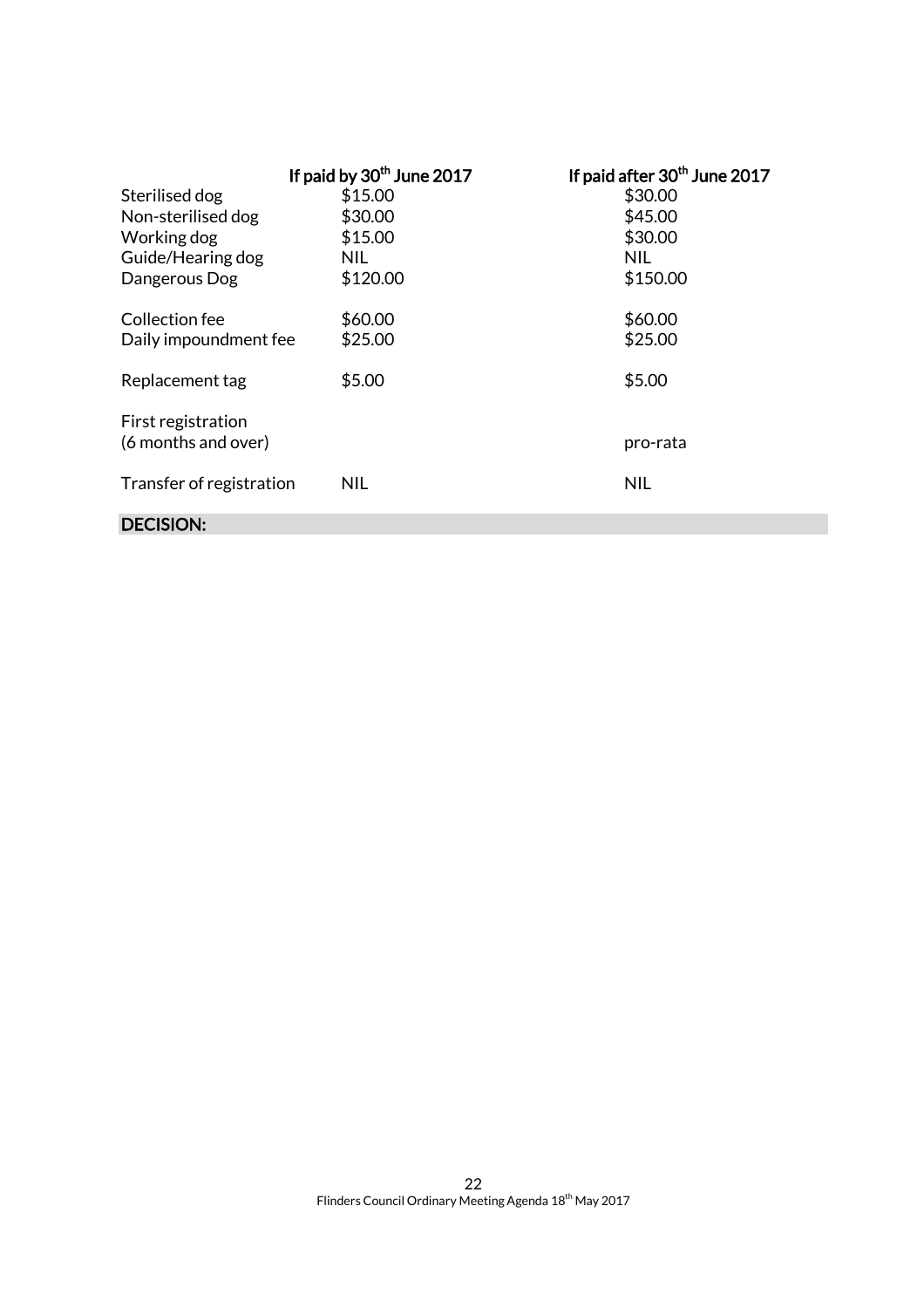|                          | If paid by 30 <sup>th</sup> June 2017 | If paid after 30 <sup>th</sup> June 2017 |
|--------------------------|---------------------------------------|------------------------------------------|
| Sterilised dog           | \$15.00                               | \$30.00                                  |
| Non-sterilised dog       | \$30.00                               | \$45.00                                  |
| Working dog              | \$15.00                               | \$30.00                                  |
| Guide/Hearing dog        | <b>NIL</b>                            | <b>NIL</b>                               |
| Dangerous Dog            | \$120.00                              | \$150.00                                 |
| Collection fee           | \$60.00                               | \$60.00                                  |
| Daily impoundment fee    | \$25.00                               | \$25.00                                  |
| Replacement tag          | \$5.00                                | \$5.00                                   |
| First registration       |                                       |                                          |
| (6 months and over)      |                                       | pro-rata                                 |
| Transfer of registration | <b>NIL</b>                            | <b>NIL</b>                               |
| <b>DECISION:</b>         |                                       |                                          |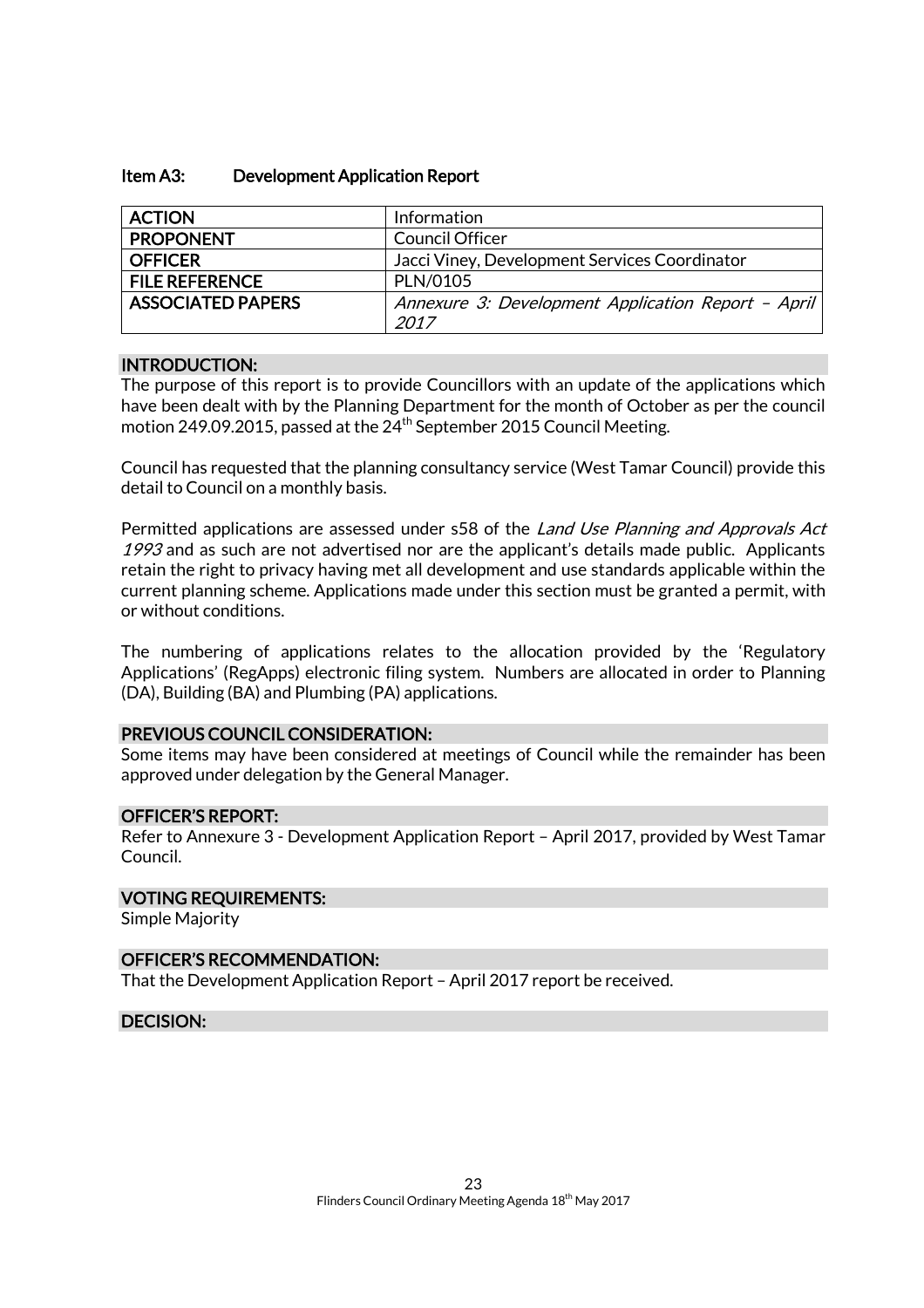#### Item A3: Development Application Report

| <b>ACTION</b>            | Information                                                |
|--------------------------|------------------------------------------------------------|
| <b>PROPONENT</b>         | <b>Council Officer</b>                                     |
| <b>OFFICER</b>           | Jacci Viney, Development Services Coordinator              |
| <b>FILE REFERENCE</b>    | PLN/0105                                                   |
| <b>ASSOCIATED PAPERS</b> | Annexure 3: Development Application Report - April<br>2017 |

#### INTRODUCTION:

The purpose of this report is to provide Councillors with an update of the applications which have been dealt with by the Planning Department for the month of October as per the council motion 249.09.2015, passed at the 24<sup>th</sup> September 2015 Council Meeting.

Council has requested that the planning consultancy service (West Tamar Council) provide this detail to Council on a monthly basis.

Permitted applications are assessed under s58 of the Land Use Planning and Approvals Act 1993 and as such are not advertised nor are the applicant's details made public. Applicants retain the right to privacy having met all development and use standards applicable within the current planning scheme. Applications made under this section must be granted a permit, with or without conditions.

The numbering of applications relates to the allocation provided by the 'Regulatory Applications' (RegApps) electronic filing system. Numbers are allocated in order to Planning (DA), Building (BA) and Plumbing (PA) applications.

#### PREVIOUS COUNCIL CONSIDERATION:

Some items may have been considered at meetings of Council while the remainder has been approved under delegation by the General Manager.

#### OFFICER'S REPORT:

Refer to Annexure 3 - Development Application Report – April 2017, provided by West Tamar Council.

#### VOTING REQUIREMENTS:

Simple Majority

#### OFFICER'S RECOMMENDATION:

That the Development Application Report – April 2017 report be received.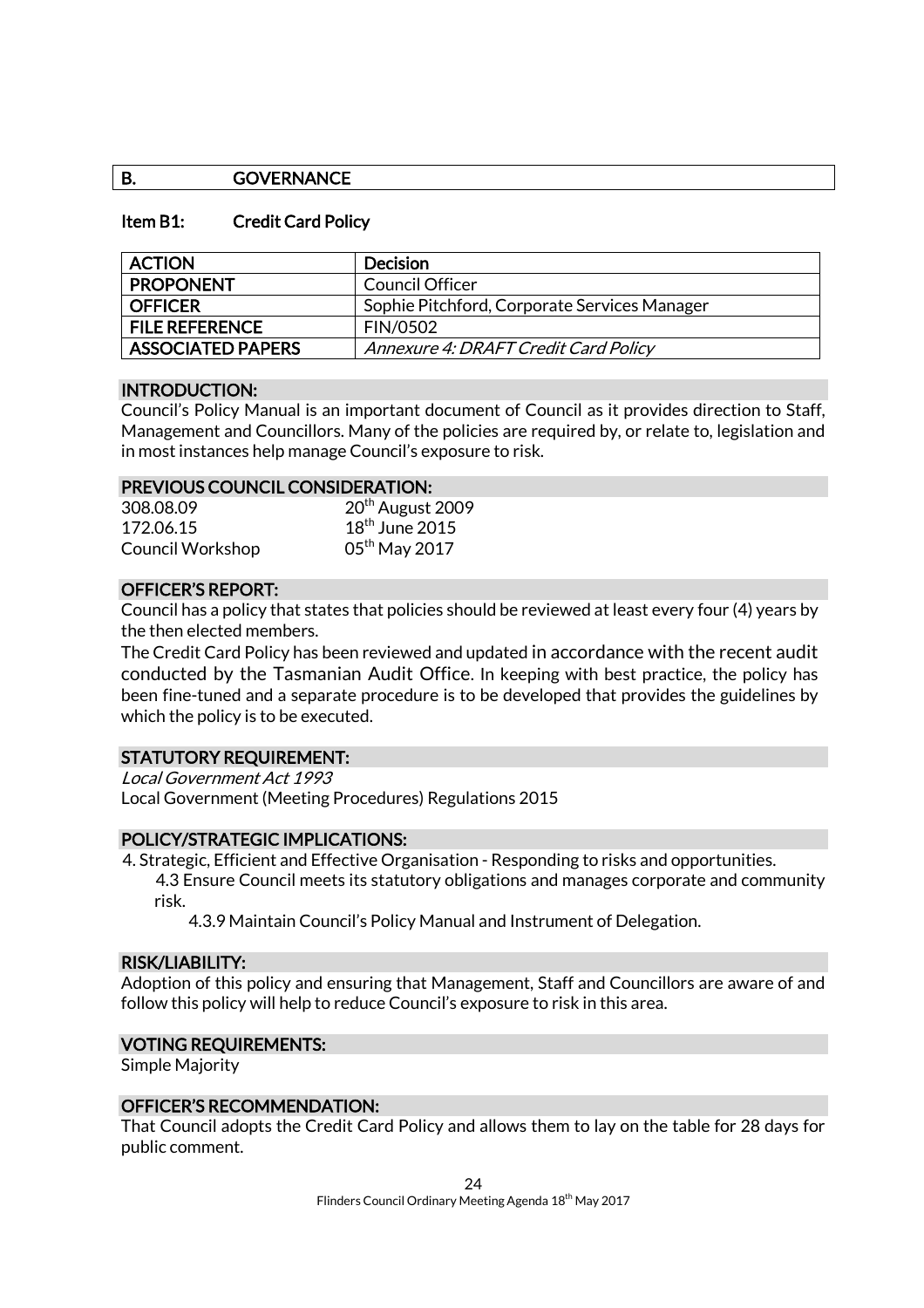#### B. **GOVERNANCE**

#### Item B1: Credit Card Policy

| <b>ACTION</b>            | <b>Decision</b>                              |
|--------------------------|----------------------------------------------|
| <b>PROPONENT</b>         | Council Officer                              |
| <b>OFFICER</b>           | Sophie Pitchford, Corporate Services Manager |
| <b>FILE REFERENCE</b>    | <b>FIN/0502</b>                              |
| <b>ASSOCIATED PAPERS</b> | Annexure 4: DRAFT Credit Card Policy         |

#### INTRODUCTION:

Council's Policy Manual is an important document of Council as it provides direction to Staff, Management and Councillors. Many of the policies are required by, or relate to, legislation and in most instances help manage Council's exposure to risk.

#### PREVIOUS COUNCIL CONSIDERATION:

| 308.08.09               | 20 <sup>th</sup> August 2009 |
|-------------------------|------------------------------|
| 172.06.15               | $18th$ June 2015             |
| <b>Council Workshop</b> | 05 <sup>th</sup> May 2017    |

#### OFFICER'S REPORT:

Council has a policy that states that policies should be reviewed at least every four (4) years by the then elected members.

The Credit Card Policy has been reviewed and updated in accordance with the recent audit conducted by the Tasmanian Audit Office. In keeping with best practice, the policy has been fine-tuned and a separate procedure is to be developed that provides the guidelines by which the policy is to be executed.

#### STATUTORY REQUIREMENT:

Local Government Act 1993 Local Government (Meeting Procedures) Regulations 2015

#### POLICY/STRATEGIC IMPLICATIONS:

4. Strategic, Efficient and Effective Organisation - Responding to risks and opportunities. 4.3 Ensure Council meets its statutory obligations and manages corporate and community

risk.

4.3.9 Maintain Council's Policy Manual and Instrument of Delegation.

#### RISK/LIABILITY:

Adoption of this policy and ensuring that Management, Staff and Councillors are aware of and follow this policy will help to reduce Council's exposure to risk in this area.

#### VOTING REQUIREMENTS:

Simple Majority

#### OFFICER'S RECOMMENDATION:

That Council adopts the Credit Card Policy and allows them to lay on the table for 28 days for public comment.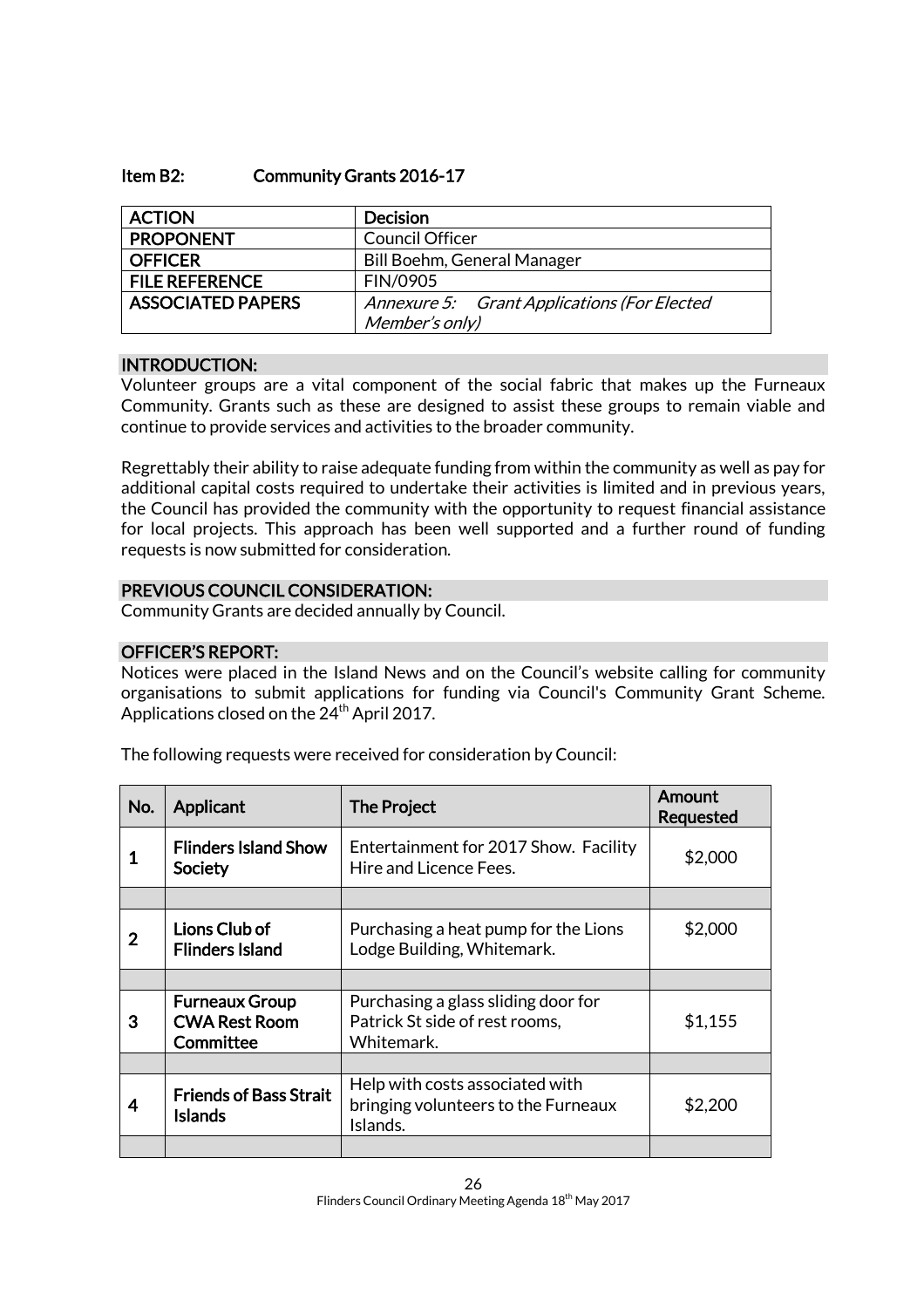#### Item B2: Community Grants 2016-17

| <b>ACTION</b>            | <b>Decision</b>                             |
|--------------------------|---------------------------------------------|
| <b>PROPONENT</b>         | <b>Council Officer</b>                      |
| <b>OFFICER</b>           | <b>Bill Boehm, General Manager</b>          |
| <b>FILE REFERENCE</b>    | FIN/0905                                    |
| <b>ASSOCIATED PAPERS</b> | Annexure 5: Grant Applications (For Elected |
|                          | Member's only)                              |

#### INTRODUCTION:

Volunteer groups are a vital component of the social fabric that makes up the Furneaux Community. Grants such as these are designed to assist these groups to remain viable and continue to provide services and activities to the broader community.

Regrettably their ability to raise adequate funding from within the community as well as pay for additional capital costs required to undertake their activities is limited and in previous years, the Council has provided the community with the opportunity to request financial assistance for local projects. This approach has been well supported and a further round of funding requests is now submitted for consideration.

#### PREVIOUS COUNCIL CONSIDERATION:

Community Grants are decided annually by Council.

#### OFFICER'S REPORT:

Notices were placed in the Island News and on the Council's website calling for community organisations to submit applications for funding via Council's Community Grant Scheme. Applications closed on the 24 $^{\rm th}$  April 2017.

| No. | Applicant                                                  | <b>The Project</b>                                                                  | Amount<br><b>Requested</b> |
|-----|------------------------------------------------------------|-------------------------------------------------------------------------------------|----------------------------|
|     | <b>Flinders Island Show</b><br>Society                     | Entertainment for 2017 Show. Facility<br>Hire and Licence Fees.                     | \$2,000                    |
|     |                                                            |                                                                                     |                            |
| 2   | Lions Club of<br><b>Flinders Island</b>                    | Purchasing a heat pump for the Lions<br>Lodge Building, Whitemark.                  | \$2,000                    |
|     |                                                            |                                                                                     |                            |
| 3   | <b>Furneaux Group</b><br><b>CWA Rest Room</b><br>Committee | Purchasing a glass sliding door for<br>Patrick St side of rest rooms,<br>Whitemark. | \$1,155                    |
|     |                                                            |                                                                                     |                            |
|     | <b>Friends of Bass Strait</b><br>Islands                   | Help with costs associated with<br>bringing volunteers to the Furneaux<br>Islands.  | \$2,200                    |
|     |                                                            |                                                                                     |                            |

The following requests were received for consideration by Council: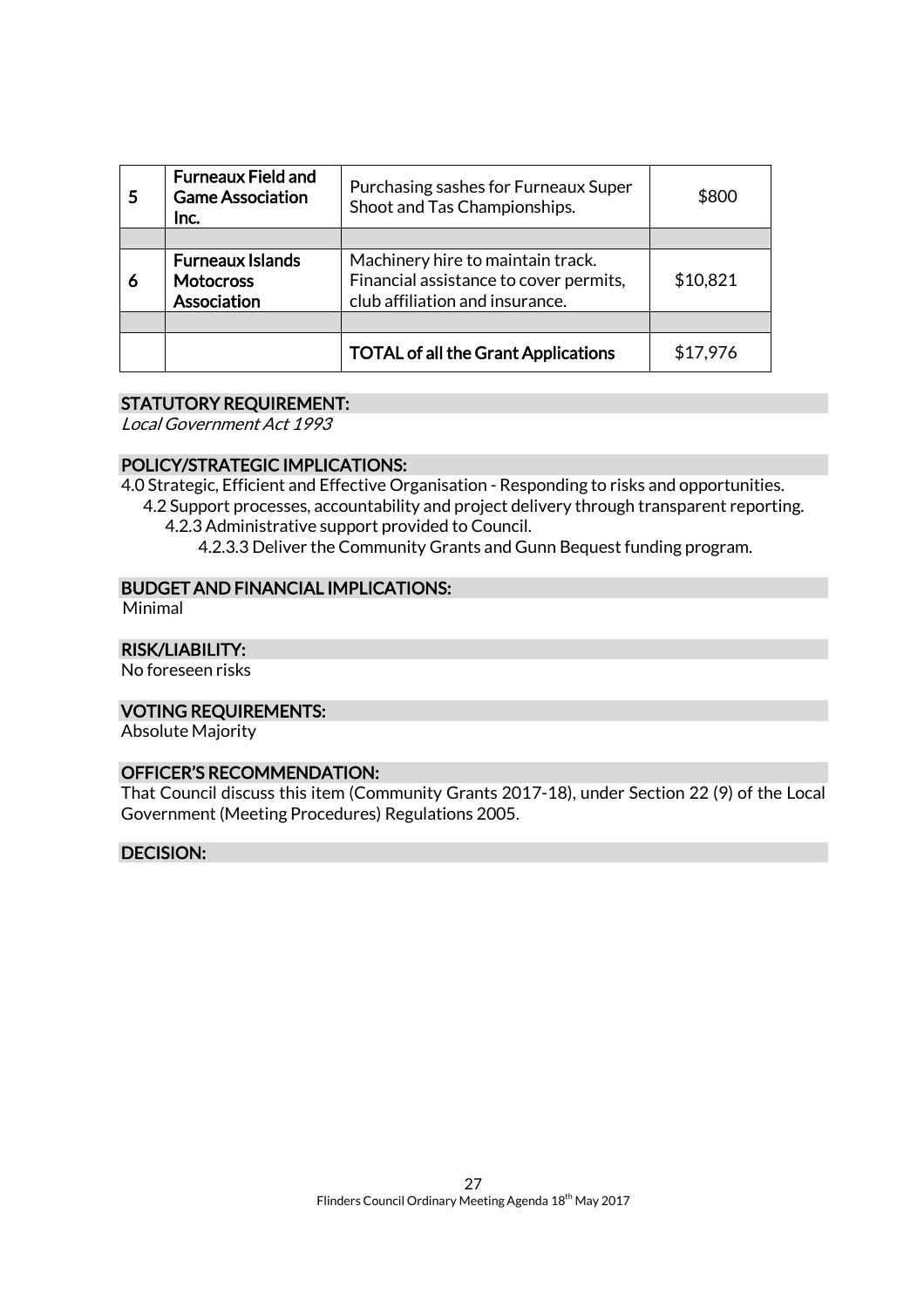|   | <b>Furneaux Field and</b><br><b>Game Association</b><br>Inc. | Purchasing sashes for Furneaux Super<br>Shoot and Tas Championships.                                           | \$800    |
|---|--------------------------------------------------------------|----------------------------------------------------------------------------------------------------------------|----------|
|   |                                                              |                                                                                                                |          |
| 6 | <b>Furneaux Islands</b><br><b>Motocross</b><br>Association   | Machinery hire to maintain track.<br>Financial assistance to cover permits,<br>club affiliation and insurance. | \$10,821 |
|   |                                                              |                                                                                                                |          |
|   |                                                              | <b>TOTAL of all the Grant Applications</b>                                                                     | \$17,976 |

#### STATUTORY REQUIREMENT:

Local Government Act 1993

#### POLICY/STRATEGIC IMPLICATIONS:

4.0 Strategic, Efficient and Effective Organisation - Responding to risks and opportunities. 4.2 Support processes, accountability and project delivery through transparent reporting.

- 4.2.3 Administrative support provided to Council.
	- 4.2.3.3 Deliver the Community Grants and Gunn Bequest funding program.

#### BUDGET AND FINANCIAL IMPLICATIONS:

Minimal

#### RISK/LIABILITY:

No foreseen risks

#### VOTING REQUIREMENTS:

Absolute Majority

#### OFFICER'S RECOMMENDATION:

That Council discuss this item (Community Grants 2017-18), under Section 22 (9) of the Local Government (Meeting Procedures) Regulations 2005.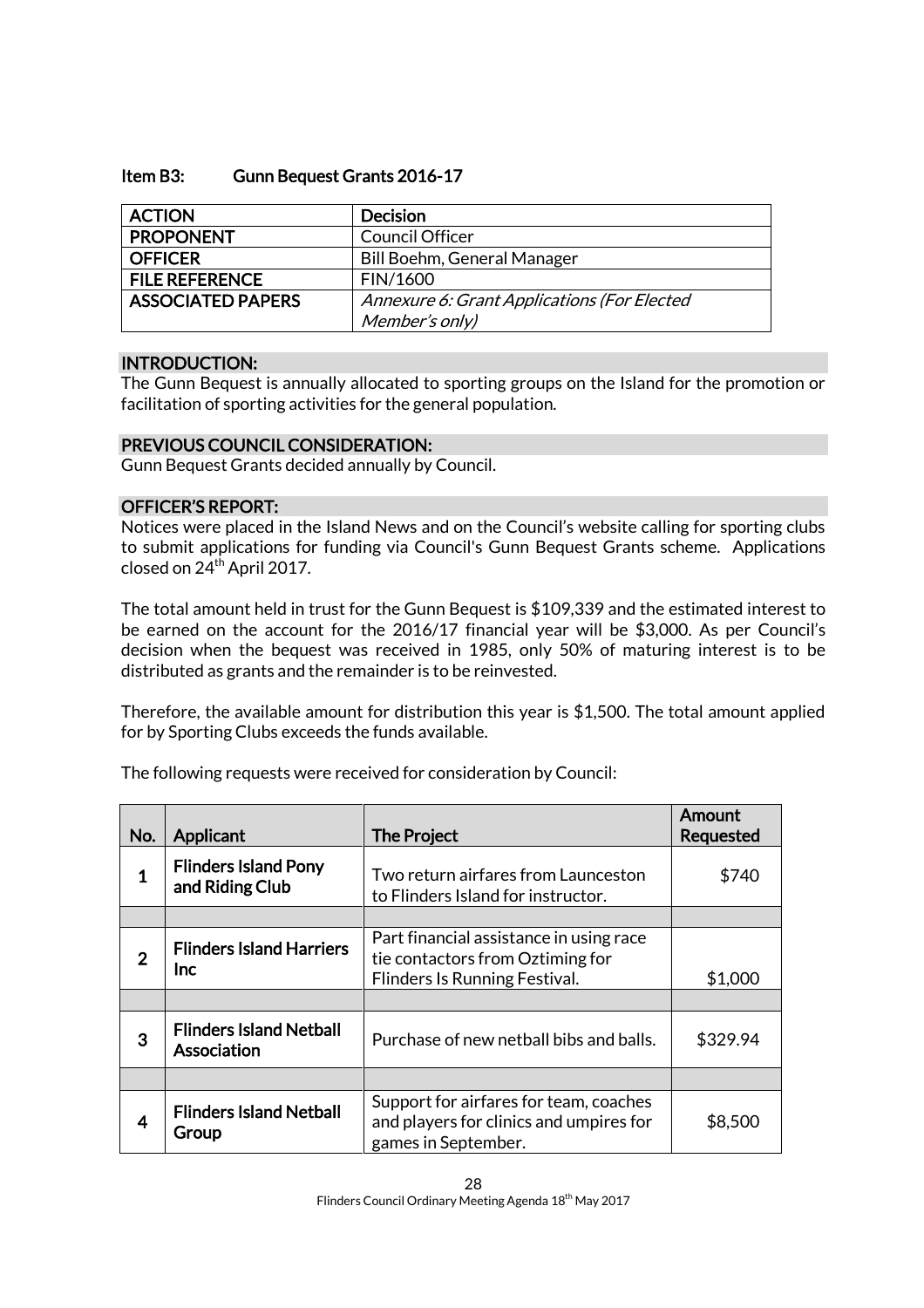#### Item B3: Gunn Bequest Grants 2016-17

| <b>ACTION</b>            | <b>Decision</b>                             |
|--------------------------|---------------------------------------------|
| <b>PROPONENT</b>         | <b>Council Officer</b>                      |
| <b>OFFICER</b>           | Bill Boehm, General Manager                 |
| <b>FILE REFERENCE</b>    | FIN/1600                                    |
| <b>ASSOCIATED PAPERS</b> | Annexure 6: Grant Applications (For Elected |
|                          | Member's only)                              |

#### INTRODUCTION:

The Gunn Bequest is annually allocated to sporting groups on the Island for the promotion or facilitation of sporting activities for the general population.

#### PREVIOUS COUNCIL CONSIDERATION:

Gunn Bequest Grants decided annually by Council.

#### OFFICER'S REPORT:

Notices were placed in the Island News and on the Council's website calling for sporting clubs to submit applications for funding via Council's Gunn Bequest Grants scheme. Applications closed on 24<sup>th</sup> April 2017.

The total amount held in trust for the Gunn Bequest is \$109,339 and the estimated interest to be earned on the account for the 2016/17 financial year will be \$3,000. As per Council's decision when the bequest was received in 1985, only 50% of maturing interest is to be distributed as grants and the remainder is to be reinvested.

Therefore, the available amount for distribution this year is \$1,500. The total amount applied for by Sporting Clubs exceeds the funds available.

| No. | Applicant                                      | <b>The Project</b>                                                                                           | Amount<br><b>Requested</b> |
|-----|------------------------------------------------|--------------------------------------------------------------------------------------------------------------|----------------------------|
| 1   | <b>Flinders Island Pony</b><br>and Riding Club | Two return airfares from Launceston<br>to Flinders Island for instructor.                                    | \$740                      |
|     |                                                |                                                                                                              |                            |
| 2   | <b>Flinders Island Harriers</b><br><b>Inc</b>  | Part financial assistance in using race<br>tie contactors from Oztiming for<br>Flinders Is Running Festival. | \$1,000                    |
|     |                                                |                                                                                                              |                            |
| 3   | <b>Flinders Island Netball</b><br>Association  | Purchase of new netball bibs and balls.                                                                      | \$329.94                   |
|     |                                                |                                                                                                              |                            |
| 4   | <b>Flinders Island Netball</b><br>Group        | Support for airfares for team, coaches<br>and players for clinics and umpires for<br>games in September.     | \$8,500                    |

The following requests were received for consideration by Council: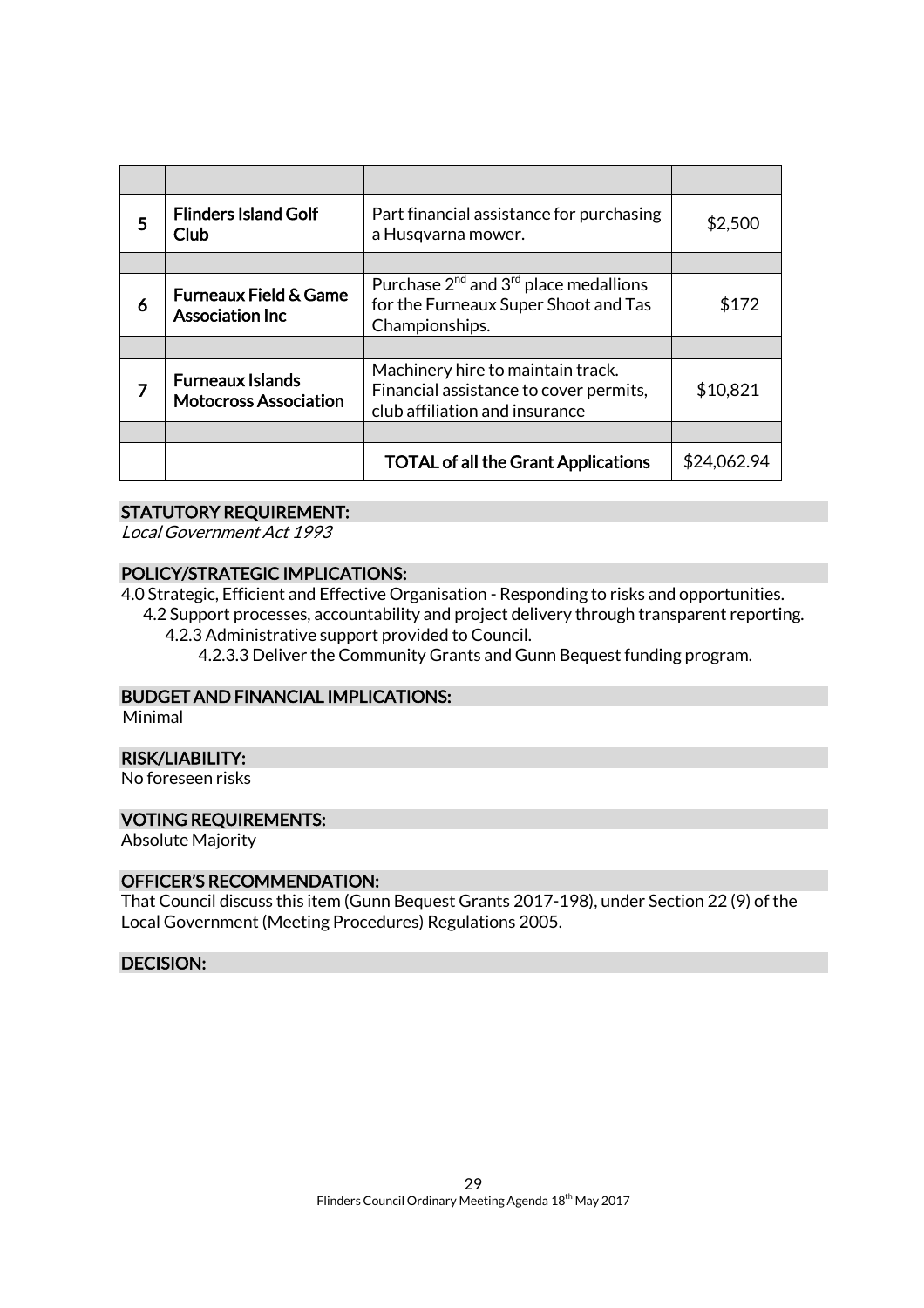| 5 | <b>Flinders Island Golf</b><br>Club                        | Part financial assistance for purchasing<br>a Husqvarna mower.                                                | \$2,500     |
|---|------------------------------------------------------------|---------------------------------------------------------------------------------------------------------------|-------------|
|   |                                                            |                                                                                                               |             |
| 6 | <b>Furneaux Field &amp; Game</b><br><b>Association Inc</b> | Purchase $2^{nd}$ and $3^{rd}$ place medallions<br>for the Furneaux Super Shoot and Tas<br>Championships.     | \$172       |
|   |                                                            |                                                                                                               |             |
|   | <b>Furneaux Islands</b><br><b>Motocross Association</b>    | Machinery hire to maintain track.<br>Financial assistance to cover permits,<br>club affiliation and insurance | \$10,821    |
|   |                                                            |                                                                                                               |             |
|   |                                                            | <b>TOTAL of all the Grant Applications</b>                                                                    | \$24,062.94 |

#### STATUTORY REQUIREMENT:

Local Government Act 1993

### POLICY/STRATEGIC IMPLICATIONS:

4.0 Strategic, Efficient and Effective Organisation - Responding to risks and opportunities. 4.2 Support processes, accountability and project delivery through transparent reporting.

- 4.2.3 Administrative support provided to Council.
	- 4.2.3.3 Deliver the Community Grants and Gunn Bequest funding program.

#### BUDGET AND FINANCIAL IMPLICATIONS:

Minimal

# RISK/LIABILITY:

No foreseen risks

#### VOTING REQUIREMENTS:

Absolute Majority

#### OFFICER'S RECOMMENDATION:

That Council discuss this item (Gunn Bequest Grants 2017-198), under Section 22 (9) of the Local Government (Meeting Procedures) Regulations 2005.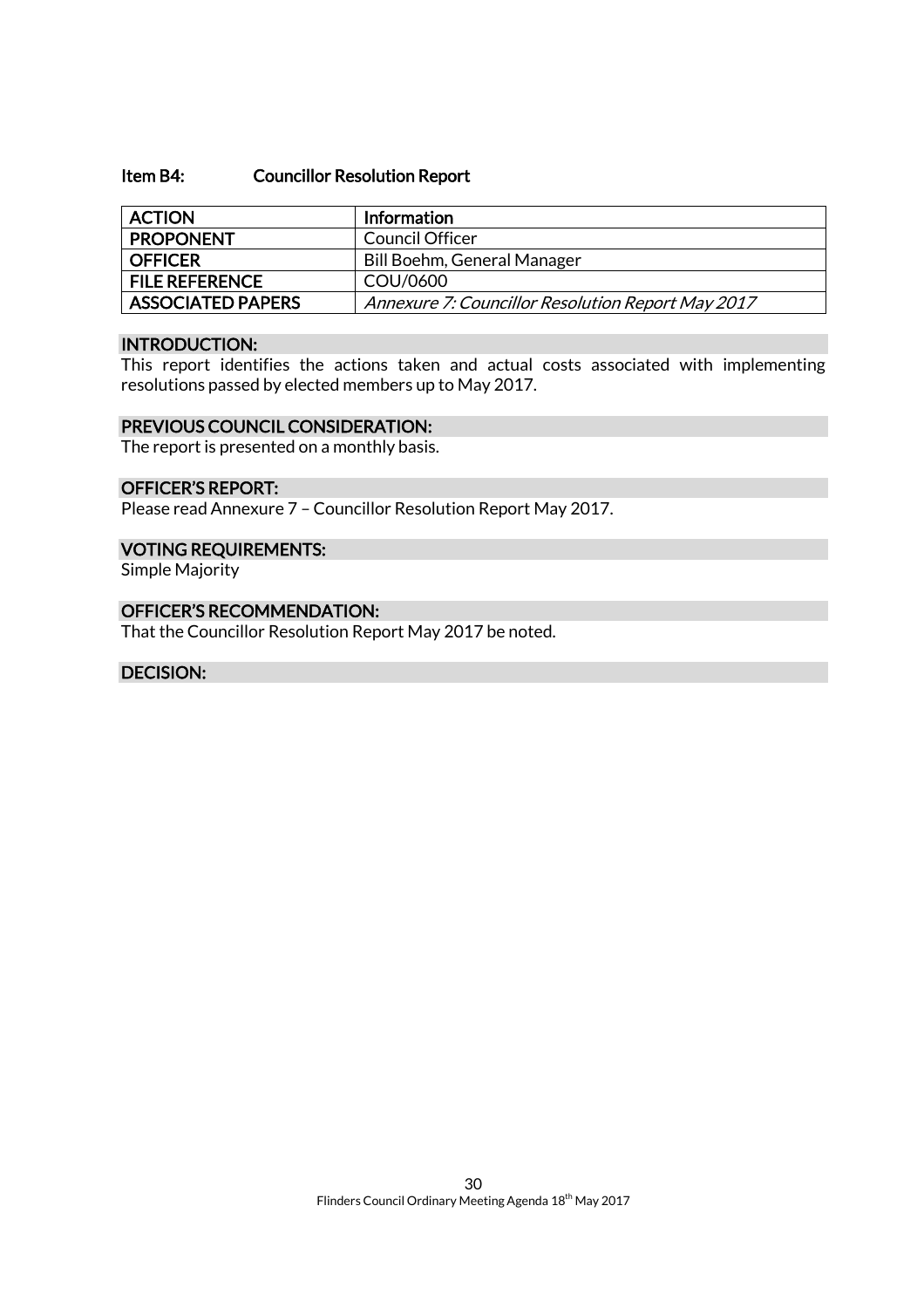#### Item B4: Councillor Resolution Report

| <b>ACTION</b>            | <b>Information</b>                                       |
|--------------------------|----------------------------------------------------------|
| <b>PROPONENT</b>         | Council Officer                                          |
| <b>OFFICER</b>           | <b>Bill Boehm, General Manager</b>                       |
| <b>FILE REFERENCE</b>    | COU/0600                                                 |
| <b>ASSOCIATED PAPERS</b> | <b>Annexure 7: Councillor Resolution Report May 2017</b> |

#### INTRODUCTION:

This report identifies the actions taken and actual costs associated with implementing resolutions passed by elected members up to May 2017.

#### PREVIOUS COUNCIL CONSIDERATION:

The report is presented on a monthly basis.

#### OFFICER'S REPORT:

Please read Annexure 7 – Councillor Resolution Report May 2017.

#### VOTING REQUIREMENTS:

Simple Majority

### OFFICER'S RECOMMENDATION:

That the Councillor Resolution Report May 2017 be noted.